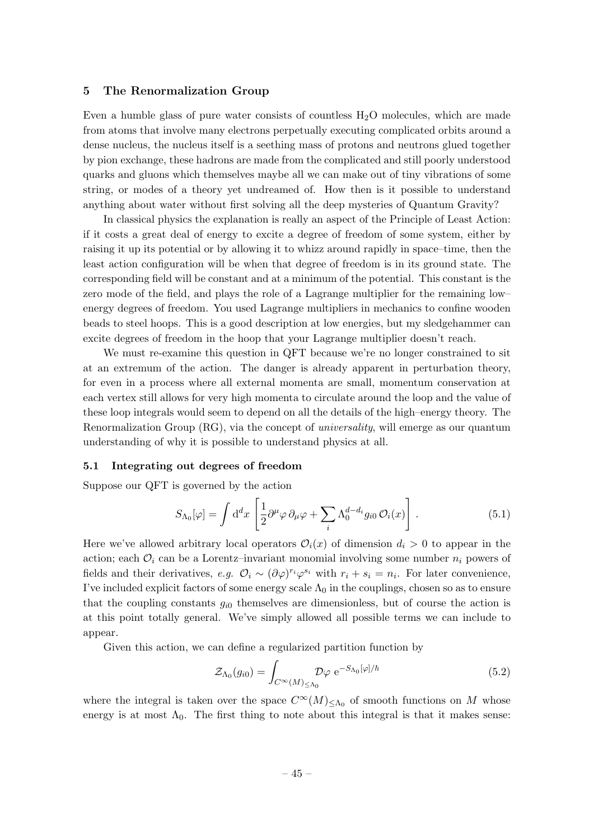## 5 The Renormalization Group

<span id="page-0-4"></span>Even a humble glass of pure water consists of countless  $H_2O$  molecules, which are made from atoms that involve many electrons perpetually executing complicated orbits around a dense nucleus, the nucleus itself is a seething mass of protons and neutrons glued together by pion exchange, these hadrons are made from the complicated and still poorly understood quarks and gluons which themselves maybe all we can make out of tiny vibrations of some string, or modes of a theory yet undreamed of. How then is it possible to understand anything about water without first solving all the deep mysteries of Quantum Gravity?

<span id="page-0-3"></span><span id="page-0-2"></span>In classical physics the explanation is really an aspect of the Principle of Least Action: if it costs a great deal of energy to excite a degree of freedom of some system, either by raising it up its potential or by allowing it to whizz around rapidly in space–time, then the least action configuration will be when that degree of freedom is in its ground state. The corresponding field will be constant and at a minimum of the potential. This constant is the zero mode of the field, and plays the role of a Lagrange multiplier for the remaining low– energy degrees of freedom. You used Lagrange multipliers in mechanics to confine wooden beads to steel hoops. This is a good description at low energies, but my sledgehammer can excite degrees of freedom in the hoop that your Lagrange multiplier doesn't reach.

We must re-examine this question in QFT because we're no longer constrained to sit at an extremum of the action. The danger is already apparent in perturbation theory, for even in a process where all external momenta are small, momentum conservation at each vertex still allows for very high momenta to circulate around the loop and the value of these loop integrals would seem to depend on all the details of the high–energy theory. The Renormalization Group (RG), via the concept of universality, will emerge as our quantum understanding of why it is possible to understand physics at all.

### 5.1 Integrating out degrees of freedom

Suppose our QFT is governed by the action

<span id="page-0-1"></span>
$$
S_{\Lambda_0}[\varphi] = \int d^d x \left[ \frac{1}{2} \partial^\mu \varphi \, \partial_\mu \varphi + \sum_i \Lambda_0^{d-d_i} g_{i0} \, \mathcal{O}_i(x) \right] . \tag{5.1}
$$

Here we've allowed arbitrary local operators  $\mathcal{O}_i(x)$  of dimension  $d_i > 0$  to appear in the action; each  $\mathcal{O}_i$  can be a Lorentz–invariant monomial involving some number  $n_i$  powers of fields and their derivatives, e.g.  $\mathcal{O}_i \sim (\partial \varphi)^{r_i} \varphi^{s_i}$  with  $r_i + s_i = n_i$ . For later convenience, I've included explicit factors of some energy scale  $\Lambda_0$  in the couplings, chosen so as to ensure that the coupling constants  $g_{i0}$  themselves are dimensionless, but of course the action is at this point totally general. We've simply allowed all possible terms we can include to appear.

Given this action, we can define a regularized partition function by

<span id="page-0-0"></span>
$$
\mathcal{Z}_{\Lambda_0}(g_{i0}) = \int_{C^{\infty}(M)_{\leq \Lambda_0}} \mathcal{D}\varphi \, \mathrm{e}^{-S_{\Lambda_0}[\varphi]/\hbar} \tag{5.2}
$$

where the integral is taken over the space  $C^{\infty}(M)_{\leq \Lambda_0}$  of smooth functions on M whose energy is at most  $\Lambda_0$ . The first thing to note about this integral is that it makes sense: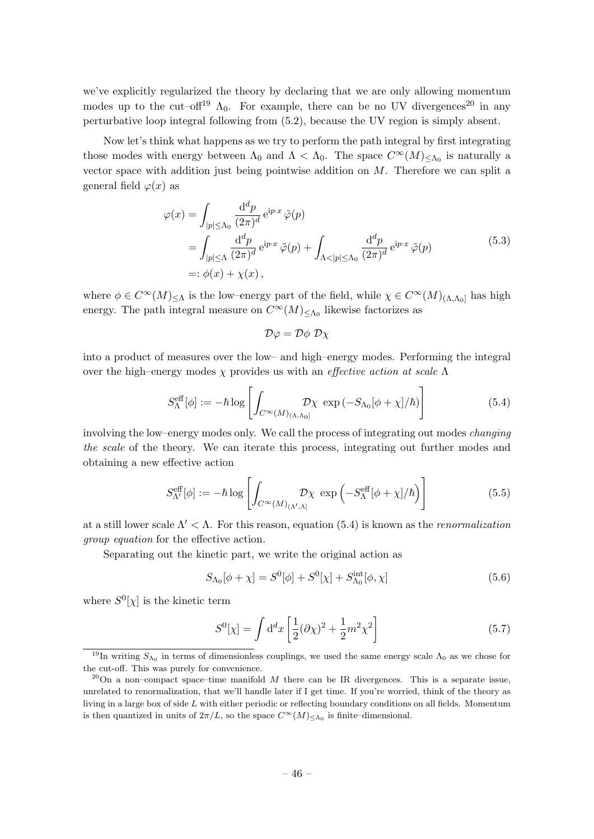we've explicitly regularized the theory by declaring that we are only allowing momentum modes up to the cut–off<sup>[19](#page-1-1)</sup>  $\Lambda_0$ . For example, there can be no UV divergences<sup>[20](#page-1-2)</sup> in any perturbative loop integral following from [\(5.2\)](#page-0-0), because the UV region is simply absent.

Now let's think what happens as we try to perform the path integral by first integrating those modes with energy between  $\Lambda_0$  and  $\Lambda < \Lambda_0$ . The space  $C^{\infty}(M)_{\Lambda_0}$  is naturally a vector space with addition just being pointwise addition on  $M$ . Therefore we can split a general field  $\varphi(x)$  as

$$
\varphi(x) = \int_{|p| \le \Lambda_0} \frac{\mathrm{d}^d p}{(2\pi)^d} e^{ip \cdot x} \tilde{\varphi}(p)
$$
  
= 
$$
\int_{|p| \le \Lambda} \frac{\mathrm{d}^d p}{(2\pi)^d} e^{ip \cdot x} \tilde{\varphi}(p) + \int_{\Lambda < |p| \le \Lambda_0} \frac{\mathrm{d}^d p}{(2\pi)^d} e^{ip \cdot x} \tilde{\varphi}(p)
$$
  
=: 
$$
\phi(x) + \chi(x), \tag{5.3}
$$

where  $\phi \in C^{\infty}(M)_{\leq \Lambda}$  is the low–energy part of the field, while  $\chi \in C^{\infty}(M)_{(\Lambda,\Lambda_0]}$  has high energy. The path integral measure on  $C^{\infty}(M)_{\leq \Lambda_0}$  likewise factorizes as

$$
\mathcal{D}\varphi=\mathcal{D}\phi\;\mathcal{D}\chi
$$

into a product of measures over the low– and high–energy modes. Performing the integral over the high–energy modes  $\chi$  provides us with an *effective action at scale*  $\Lambda$ 

<span id="page-1-0"></span>
$$
S_{\Lambda}^{\text{eff}}[\phi] := -\hbar \log \left[ \int_{C^{\infty}(M)_{(\Lambda,\Lambda_0]}} \mathcal{D}\chi \exp(-S_{\Lambda_0}[\phi + \chi]/\hbar) \right]
$$
(5.4)

involving the low–energy modes only. We call the process of integrating out modes changing the scale of the theory. We can iterate this process, integrating out further modes and obtaining a new effective action

$$
S_{\Lambda}^{\text{eff}}[\phi] := -\hbar \log \left[ \int_{C^{\infty}(M)_{(\Lambda',\Lambda]}} \mathcal{D}\chi \exp \left( -S_{\Lambda}^{\text{eff}}[\phi + \chi]/\hbar \right) \right]
$$
(5.5)

at a still lower scale  $\Lambda' < \Lambda$ . For this reason, equation [\(5.4\)](#page-1-0) is known as the *renormalization* group equation for the effective action.

Separating out the kinetic part, we write the original action as

$$
S_{\Lambda_0}[\phi + \chi] = S^0[\phi] + S^0[\chi] + S_{\Lambda_0}^{\text{int}}[\phi, \chi]
$$
\n(5.6)

where  $S^0[\chi]$  is the kinetic term

$$
S^{0}[\chi] = \int d^{d}x \left[\frac{1}{2}(\partial\chi)^{2} + \frac{1}{2}m^{2}\chi^{2}\right]
$$
\n(5.7)

<span id="page-1-1"></span><sup>&</sup>lt;sup>19</sup>In writing  $S_{\Lambda_0}$  in terms of dimensionless couplings, we used the same energy scale  $\Lambda_0$  as we chose for the cut-off. This was purely for convenience.

<span id="page-1-2"></span> $^{20}$ On a non–compact space–time manifold M there can be IR divergences. This is a separate issue, unrelated to renormalization, that we'll handle later if I get time. If you're worried, think of the theory as living in a large box of side L with either periodic or reflecting boundary conditions on all fields. Momentum is then quantized in units of  $2\pi/L$ , so the space  $C^{\infty}(M)_{\leq \Lambda_0}$  is finite–dimensional.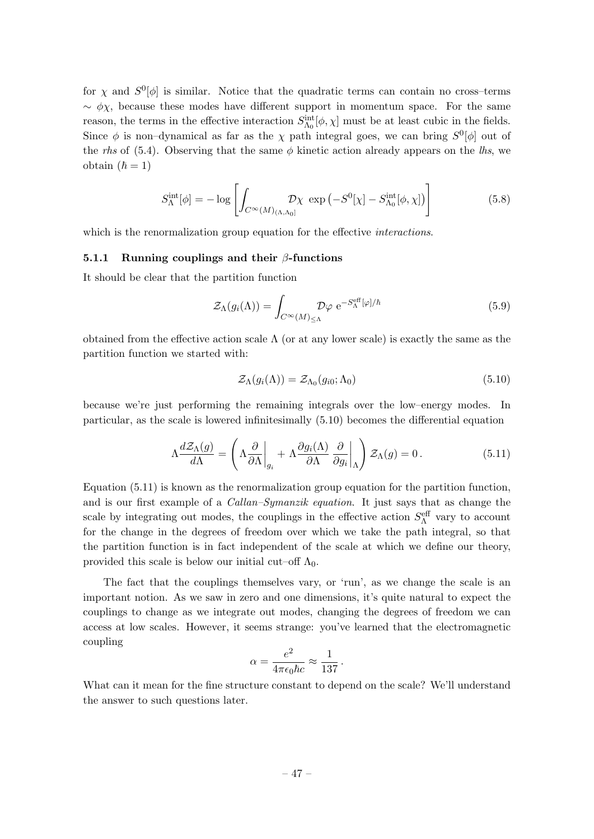for  $\chi$  and  $S^0[\phi]$  is similar. Notice that the quadratic terms can contain no cross-terms  $\sim \phi \chi$ , because these modes have different support in momentum space. For the same reason, the terms in the effective interaction  $S_{\Lambda_0}^{\text{int}}[\phi, \chi]$  must be at least cubic in the fields. Since  $\phi$  is non–dynamical as far as the  $\chi$  path integral goes, we can bring  $S^0[\phi]$  out of the rhs of [\(5.4\)](#page-1-0). Observing that the same  $\phi$  kinetic action already appears on the lhs, we obtain  $(h = 1)$ 

<span id="page-2-2"></span>
$$
S_{\Lambda}^{\text{int}}[\phi] = -\log \left[ \int_{C^{\infty}(M)_{(\Lambda,\Lambda_0]}} \mathcal{D}\chi \exp \left( -S^0[\chi] - S_{\Lambda_0}^{\text{int}}[\phi,\chi] \right) \right]
$$
(5.8)

which is the renormalization group equation for the effective *interactions*.

### 5.1.1 Running couplings and their  $\beta$ -functions

It should be clear that the partition function

$$
\mathcal{Z}_{\Lambda}(g_i(\Lambda)) = \int_{C^{\infty}(M) \leq \Lambda} \mathcal{D}\varphi \, e^{-S_{\Lambda}^{\text{eff}}[\varphi]/\hbar} \tag{5.9}
$$

obtained from the effective action scale  $\Lambda$  (or at any lower scale) is exactly the same as the partition function we started with:

<span id="page-2-1"></span>
$$
\mathcal{Z}_{\Lambda}(g_i(\Lambda)) = \mathcal{Z}_{\Lambda_0}(g_{i0}; \Lambda_0) \tag{5.10}
$$

because we're just performing the remaining integrals over the low–energy modes. In particular, as the scale is lowered infinitesimally [\(5.10\)](#page-2-1) becomes the differential equation

<span id="page-2-0"></span>
$$
\Lambda \frac{d\mathcal{Z}_{\Lambda}(g)}{d\Lambda} = \left( \Lambda \frac{\partial}{\partial \Lambda} \bigg|_{g_i} + \Lambda \frac{\partial g_i(\Lambda)}{\partial \Lambda} \frac{\partial}{\partial g_i} \bigg|_{\Lambda} \right) \mathcal{Z}_{\Lambda}(g) = 0. \tag{5.11}
$$

Equation [\(5.11\)](#page-2-0) is known as the renormalization group equation for the partition function, and is our first example of a *Callan–Symanzik equation*. It just says that as change the scale by integrating out modes, the couplings in the effective action  $S_{\Lambda}^{\text{eff}}$  vary to account for the change in the degrees of freedom over which we take the path integral, so that the partition function is in fact independent of the scale at which we define our theory, provided this scale is below our initial cut–off  $\Lambda_0$ .

The fact that the couplings themselves vary, or 'run', as we change the scale is an important notion. As we saw in zero and one dimensions, it's quite natural to expect the couplings to change as we integrate out modes, changing the degrees of freedom we can access at low scales. However, it seems strange: you've learned that the electromagnetic coupling

$$
\alpha = \frac{e^2}{4\pi\epsilon_0\hbar c} \approx \frac{1}{137} \, .
$$

What can it mean for the fine structure constant to depend on the scale? We'll understand the answer to such questions later.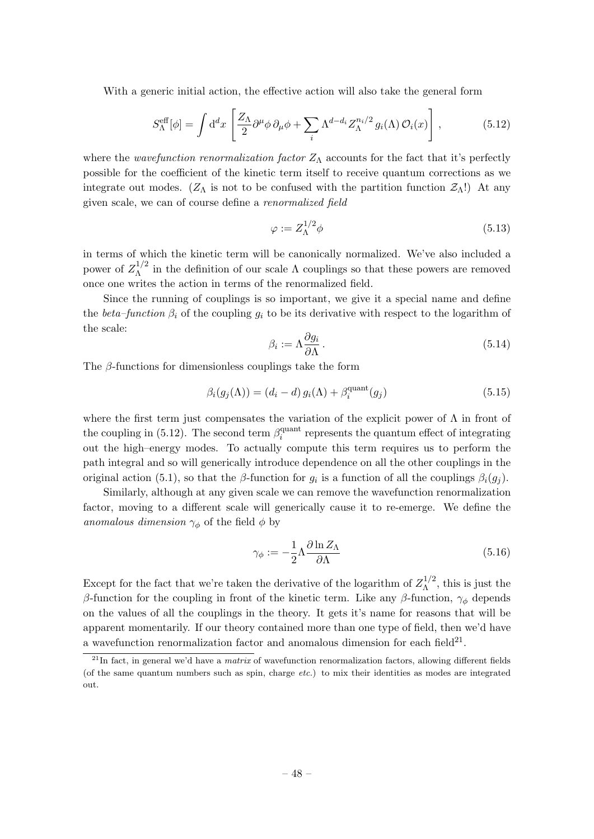With a generic initial action, the effective action will also take the general form

<span id="page-3-1"></span>
$$
S_{\Lambda}^{\text{eff}}[\phi] = \int d^d x \left[ \frac{Z_{\Lambda}}{2} \partial^{\mu} \phi \, \partial_{\mu} \phi + \sum_{i} \Lambda^{d-d_i} Z_{\Lambda}^{n_i/2} g_i(\Lambda) \, \mathcal{O}_i(x) \right], \tag{5.12}
$$

where the *wavefunction renormalization factor*  $Z_{\Lambda}$  accounts for the fact that it's perfectly possible for the coefficient of the kinetic term itself to receive quantum corrections as we integrate out modes. ( $Z_{\Lambda}$  is not to be confused with the partition function  $\mathcal{Z}_{\Lambda}$ !) At any given scale, we can of course define a renormalized field

$$
\varphi := Z_{\Lambda}^{1/2} \phi \tag{5.13}
$$

in terms of which the kinetic term will be canonically normalized. We've also included a power of  $Z_{\Lambda}^{1/2}$  in the definition of our scale  $\Lambda$  couplings so that these powers are removed once one writes the action in terms of the renormalized field.

Since the running of couplings is so important, we give it a special name and define the beta–function  $\beta_i$  of the coupling  $g_i$  to be its derivative with respect to the logarithm of the scale:

$$
\beta_i := \Lambda \frac{\partial g_i}{\partial \Lambda} \,. \tag{5.14}
$$

The  $\beta$ -functions for dimensionless couplings take the form

<span id="page-3-3"></span>
$$
\beta_i(g_j(\Lambda)) = (d_i - d) g_i(\Lambda) + \beta_i^{\text{quant}}(g_j)
$$
\n(5.15)

where the first term just compensates the variation of the explicit power of  $\Lambda$  in front of the coupling in [\(5.12\)](#page-3-1). The second term  $\beta_i^{\text{quant}}$  represents the quantum effect of integrating out the high–energy modes. To actually compute this term requires us to perform the path integral and so will generically introduce dependence on all the other couplings in the original action [\(5.1\)](#page-0-1), so that the β-function for  $g_i$  is a function of all the couplings  $\beta_i(g_j)$ .

Similarly, although at any given scale we can remove the wavefunction renormalization factor, moving to a different scale will generically cause it to re-emerge. We define the anomalous dimension  $\gamma_{\phi}$  of the field  $\phi$  by

<span id="page-3-2"></span>
$$
\gamma_{\phi} := -\frac{1}{2} \Lambda \frac{\partial \ln Z_{\Lambda}}{\partial \Lambda} \tag{5.16}
$$

Except for the fact that we're taken the derivative of the logarithm of  $Z_{\Lambda}^{1/2}$ , this is just the β-function for the coupling in front of the kinetic term. Like any β-function,  $\gamma_{\phi}$  depends on the values of all the couplings in the theory. It gets it's name for reasons that will be apparent momentarily. If our theory contained more than one type of field, then we'd have a wavefunction renormalization factor and anomalous dimension for each field $^{21}$  $^{21}$  $^{21}$ .

<span id="page-3-0"></span><sup>21</sup>In fact, in general we'd have a *matrix* of wavefunction renormalization factors, allowing different fields (of the same quantum numbers such as spin, charge *etc.*) to mix their identities as modes are integrated out.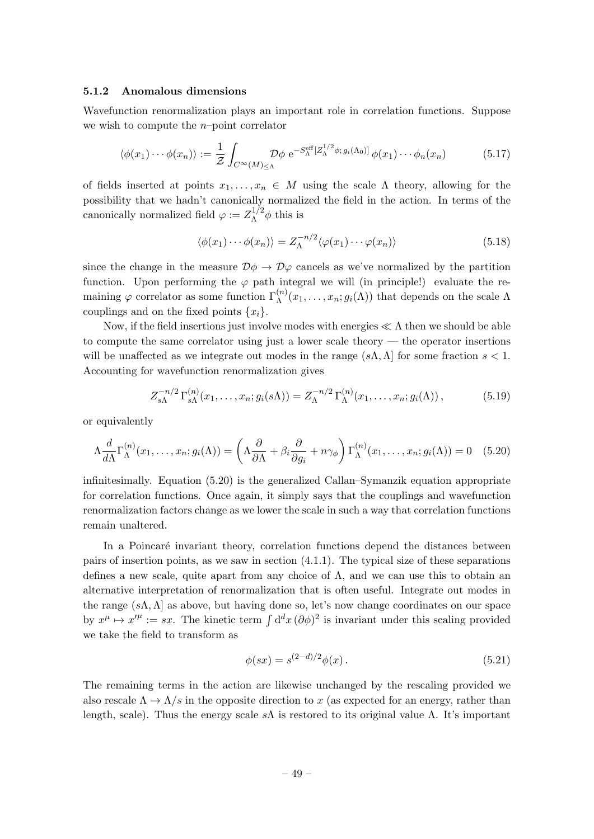# 5.1.2 Anomalous dimensions

Wavefunction renormalization plays an important role in correlation functions. Suppose we wish to compute the  $n$ -point correlator

$$
\langle \phi(x_1) \cdots \phi(x_n) \rangle := \frac{1}{\mathcal{Z}} \int_{C^\infty(M) \le \Lambda} \mathcal{D}\phi \, e^{-S_{\Lambda}^{\text{eff}}[Z_{\Lambda}^{1/2}\phi; g_i(\Lambda_0)]} \, \phi(x_1) \cdots \phi_n(x_n) \tag{5.17}
$$

of fields inserted at points  $x_1, \ldots, x_n \in M$  using the scale  $\Lambda$  theory, allowing for the possibility that we hadn't canonically normalized the field in the action. In terms of the canonically normalized field  $\varphi := Z_{\Lambda}^{1/2} \phi$  this is

$$
\langle \phi(x_1) \cdots \phi(x_n) \rangle = Z_{\Lambda}^{-n/2} \langle \varphi(x_1) \cdots \varphi(x_n) \rangle \tag{5.18}
$$

since the change in the measure  $\mathcal{D}\phi \to \mathcal{D}\varphi$  cancels as we've normalized by the partition function. Upon performing the  $\varphi$  path integral we will (in principle!) evaluate the remaining  $\varphi$  correlator as some function  $\Gamma_{\Lambda}^{(n)}(x_1,\ldots,x_n;g_i(\Lambda))$  that depends on the scale  $\Lambda$ couplings and on the fixed points  $\{x_i\}$ .

Now, if the field insertions just involve modes with energies  $\ll \Lambda$  then we should be able to compute the same correlator using just a lower scale theory — the operator insertions will be unaffected as we integrate out modes in the range  $(s\Lambda, \Lambda)$  for some fraction  $s < 1$ . Accounting for wavefunction renormalization gives

<span id="page-4-1"></span>
$$
Z_{s\Lambda}^{-n/2} \Gamma_{s\Lambda}^{(n)}(x_1,\ldots,x_n;g_i(s\Lambda)) = Z_{\Lambda}^{-n/2} \Gamma_{\Lambda}^{(n)}(x_1,\ldots,x_n;g_i(\Lambda)), \qquad (5.19)
$$

or equivalently

<span id="page-4-0"></span>
$$
\Lambda \frac{d}{d\Lambda} \Gamma_{\Lambda}^{(n)}(x_1, \dots, x_n; g_i(\Lambda)) = \left( \Lambda \frac{\partial}{\partial \Lambda} + \beta_i \frac{\partial}{\partial g_i} + n\gamma_\phi \right) \Gamma_{\Lambda}^{(n)}(x_1, \dots, x_n; g_i(\Lambda)) = 0 \quad (5.20)
$$

infinitesimally. Equation [\(5.20\)](#page-4-0) is the generalized Callan–Symanzik equation appropriate for correlation functions. Once again, it simply says that the couplings and wavefunction renormalization factors change as we lower the scale in such a way that correlation functions remain unaltered.

In a Poincaré invariant theory, correlation functions depend the distances between pairs of insertion points, as we saw in section [\(4.1.1\)](#page-0-2). The typical size of these separations defines a new scale, quite apart from any choice of  $\Lambda$ , and we can use this to obtain an alternative interpretation of renormalization that is often useful. Integrate out modes in the range  $(s\Lambda, \Lambda]$  as above, but having done so, let's now change coordinates on our space by  $x^{\mu} \mapsto x'^{\mu} := sx$ . The kinetic term  $\int d^d x (\partial \phi)^2$  is invariant under this scaling provided we take the field to transform as

$$
\phi(sx) = s^{(2-d)/2}\phi(x). \tag{5.21}
$$

The remaining terms in the action are likewise unchanged by the rescaling provided we also rescale  $\Lambda \to \Lambda/s$  in the opposite direction to x (as expected for an energy, rather than length, scale). Thus the energy scale  $s\Lambda$  is restored to its original value  $\Lambda$ . It's important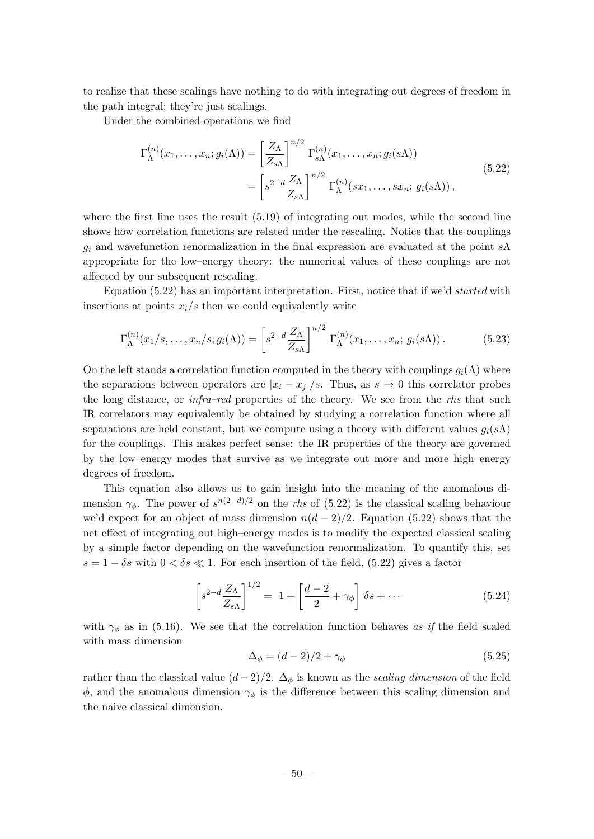to realize that these scalings have nothing to do with integrating out degrees of freedom in the path integral; they're just scalings.

Under the combined operations we find

<span id="page-5-0"></span>
$$
\Gamma_{\Lambda}^{(n)}(x_1,\ldots,x_n;g_i(\Lambda)) = \left[\frac{Z_{\Lambda}}{Z_{s\Lambda}}\right]^{n/2} \Gamma_{s\Lambda}^{(n)}(x_1,\ldots,x_n;g_i(s\Lambda))
$$
\n
$$
= \left[s^{2-d} \frac{Z_{\Lambda}}{Z_{s\Lambda}}\right]^{n/2} \Gamma_{\Lambda}^{(n)}(sx_1,\ldots,sx_n;g_i(s\Lambda)), \tag{5.22}
$$

where the first line uses the result [\(5.19\)](#page-4-1) of integrating out modes, while the second line shows how correlation functions are related under the rescaling. Notice that the couplings  $g_i$  and wavefunction renormalization in the final expression are evaluated at the point s $\Lambda$ appropriate for the low–energy theory: the numerical values of these couplings are not affected by our subsequent rescaling.

Equation [\(5.22\)](#page-5-0) has an important interpretation. First, notice that if we'd started with insertions at points  $x_i/s$  then we could equivalently write

$$
\Gamma_{\Lambda}^{(n)}(x_1/s,\ldots,x_n/s;g_i(\Lambda)) = \left[s^{2-d}\frac{Z_{\Lambda}}{Z_{s\Lambda}}\right]^{n/2} \Gamma_{\Lambda}^{(n)}(x_1,\ldots,x_n;g_i(s\Lambda)).
$$
\n(5.23)

On the left stands a correlation function computed in the theory with couplings  $g_i(\Lambda)$  where the separations between operators are  $|x_i - x_j|/s$ . Thus, as  $s \to 0$  this correlator probes the long distance, or *infra–red* properties of the theory. We see from the rhs that such IR correlators may equivalently be obtained by studying a correlation function where all separations are held constant, but we compute using a theory with different values  $g_i(s\Lambda)$ for the couplings. This makes perfect sense: the IR properties of the theory are governed by the low–energy modes that survive as we integrate out more and more high–energy degrees of freedom.

This equation also allows us to gain insight into the meaning of the anomalous dimension  $\gamma_{\phi}$ . The power of  $s^{n(2-d)/2}$  on the rhs of [\(5.22\)](#page-5-0) is the classical scaling behaviour we'd expect for an object of mass dimension  $n(d-2)/2$ . Equation [\(5.22\)](#page-5-0) shows that the net effect of integrating out high–energy modes is to modify the expected classical scaling by a simple factor depending on the wavefunction renormalization. To quantify this, set  $s = 1 - \delta s$  with  $0 < \delta s \ll 1$ . For each insertion of the field, [\(5.22\)](#page-5-0) gives a factor

$$
\left[s^{2-d}\frac{Z_{\Lambda}}{Z_{s\Lambda}}\right]^{1/2} = 1 + \left[\frac{d-2}{2} + \gamma_{\phi}\right]\delta s + \cdots \tag{5.24}
$$

with  $\gamma_{\phi}$  as in [\(5.16\)](#page-3-2). We see that the correlation function behaves as if the field scaled with mass dimension

$$
\Delta_{\phi} = (d-2)/2 + \gamma_{\phi} \tag{5.25}
$$

rather than the classical value  $(d-2)/2$ .  $\Delta_{\phi}$  is known as the scaling dimension of the field  $\phi$ , and the anomalous dimension  $\gamma_{\phi}$  is the difference between this scaling dimension and the naive classical dimension.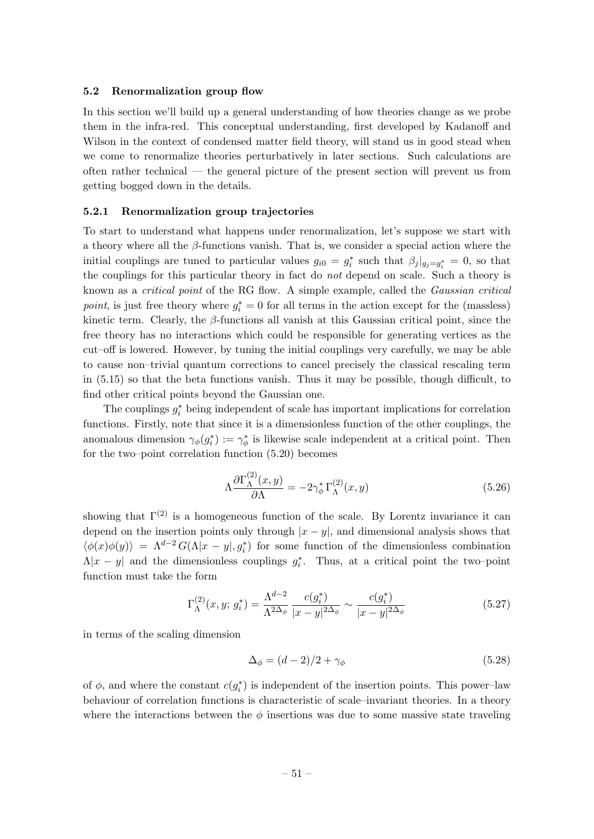## <span id="page-6-0"></span>5.2 Renormalization group flow

In this section we'll build up a general understanding of how theories change as we probe them in the infra-red. This conceptual understanding, first developed by Kadanoff and Wilson in the context of condensed matter field theory, will stand us in good stead when we come to renormalize theories perturbatively in later sections. Such calculations are often rather technical — the general picture of the present section will prevent us from getting bogged down in the details.

### 5.2.1 Renormalization group trajectories

To start to understand what happens under renormalization, let's suppose we start with a theory where all the  $\beta$ -functions vanish. That is, we consider a special action where the initial couplings are tuned to particular values  $g_{i0} = g_i^*$  such that  $\beta_j|_{g_j=g_i^*} = 0$ , so that the couplings for this particular theory in fact do not depend on scale. Such a theory is known as a critical point of the RG flow. A simple example, called the Gaussian critical *point*, is just free theory where  $g_i^* = 0$  for all terms in the action except for the (massless) kinetic term. Clearly, the  $\beta$ -functions all vanish at this Gaussian critical point, since the free theory has no interactions which could be responsible for generating vertices as the cut–off is lowered. However, by tuning the initial couplings very carefully, we may be able to cause non–trivial quantum corrections to cancel precisely the classical rescaling term in [\(5.15\)](#page-3-3) so that the beta functions vanish. Thus it may be possible, though difficult, to find other critical points beyond the Gaussian one.

The couplings  $g_i^*$  being independent of scale has important implications for correlation functions. Firstly, note that since it is a dimensionless function of the other couplings, the anomalous dimension  $\gamma_{\phi}(g_i^*) := \gamma_{\phi}^*$  is likewise scale independent at a critical point. Then for the two–point correlation function [\(5.20\)](#page-4-0) becomes

$$
\Lambda \frac{\partial \Gamma_{\Lambda}^{(2)}(x,y)}{\partial \Lambda} = -2\gamma_{\phi}^* \Gamma_{\Lambda}^{(2)}(x,y) \tag{5.26}
$$

showing that  $\Gamma^{(2)}$  is a homogeneous function of the scale. By Lorentz invariance it can depend on the insertion points only through  $|x - y|$ , and dimensional analysis shows that  $\langle \phi(x)\phi(y)\rangle = \Lambda^{d-2} G(\Lambda |x-y|, g_i^*)$  for some function of the dimensionless combination  $\Lambda |x-y|$  and the dimensionless couplings  $g_i^*$ . Thus, at a critical point the two–point function must take the form

$$
\Gamma_{\Lambda}^{(2)}(x,y; g_i^*) = \frac{\Lambda^{d-2}}{\Lambda^{2\Delta_{\phi}}} \frac{c(g_i^*)}{|x-y|^{2\Delta_{\phi}}} \sim \frac{c(g_i^*)}{|x-y|^{2\Delta_{\phi}}}
$$
(5.27)

in terms of the scaling dimension

$$
\Delta_{\phi} = (d-2)/2 + \gamma_{\phi} \tag{5.28}
$$

of  $\phi$ , and where the constant  $c(g_i^*)$  is independent of the insertion points. This power–law behaviour of correlation functions is characteristic of scale–invariant theories. In a theory where the interactions between the  $\phi$  insertions was due to some massive state traveling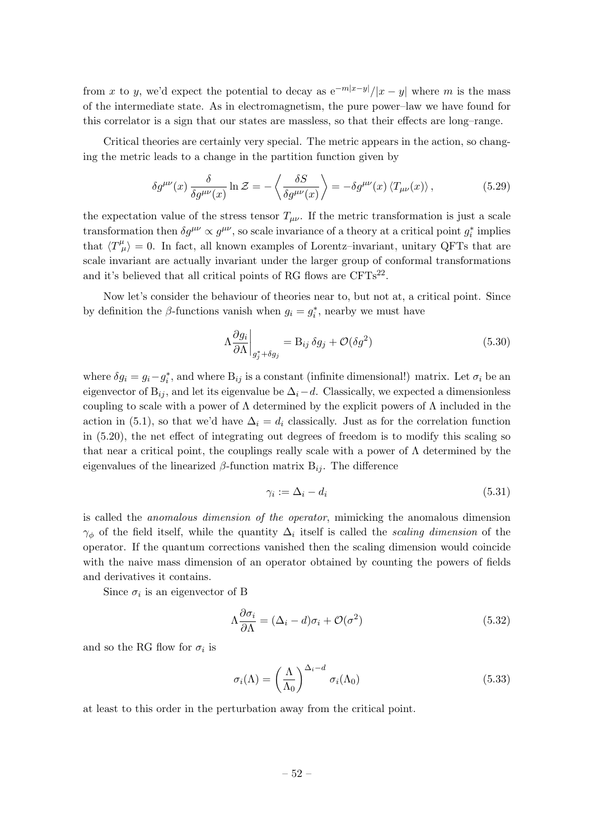from x to y, we'd expect the potential to decay as  $e^{-m|x-y|}/|x-y|$  where m is the mass of the intermediate state. As in electromagnetism, the pure power–law we have found for this correlator is a sign that our states are massless, so that their effects are long–range.

Critical theories are certainly very special. The metric appears in the action, so changing the metric leads to a change in the partition function given by

$$
\delta g^{\mu\nu}(x) \frac{\delta}{\delta g^{\mu\nu}(x)} \ln \mathcal{Z} = -\left\langle \frac{\delta S}{\delta g^{\mu\nu}(x)} \right\rangle = -\delta g^{\mu\nu}(x) \left\langle T_{\mu\nu}(x) \right\rangle, \tag{5.29}
$$

the expectation value of the stress tensor  $T_{\mu\nu}$ . If the metric transformation is just a scale transformation then  $\delta g^{\mu\nu} \propto g^{\mu\nu}$ , so scale invariance of a theory at a critical point  $g_i^*$  implies that  $\langle T^{\mu}_{\ \mu} \rangle = 0$ . In fact, all known examples of Lorentz–invariant, unitary QFTs that are scale invariant are actually invariant under the larger group of conformal transformations and it's believed that all critical points of RG flows are  $CFTs^{22}$  $CFTs^{22}$  $CFTs^{22}$ .

Now let's consider the behaviour of theories near to, but not at, a critical point. Since by definition the  $\beta$ -functions vanish when  $g_i = g_i^*$ , nearby we must have

<span id="page-7-1"></span>
$$
\Lambda \frac{\partial g_i}{\partial \Lambda} \bigg|_{g_j^* + \delta g_j} = B_{ij} \, \delta g_j + \mathcal{O}(\delta g^2) \tag{5.30}
$$

where  $\delta g_i = g_i - g_i^*$ , and where  $B_{ij}$  is a constant (infinite dimensional!) matrix. Let  $\sigma_i$  be an eigenvector of  $B_{ij}$ , and let its eigenvalue be  $\Delta_i - d$ . Classically, we expected a dimensionless coupling to scale with a power of  $\Lambda$  determined by the explicit powers of  $\Lambda$  included in the action in [\(5.1\)](#page-0-1), so that we'd have  $\Delta_i = d_i$  classically. Just as for the correlation function in [\(5.20\)](#page-4-0), the net effect of integrating out degrees of freedom is to modify this scaling so that near a critical point, the couplings really scale with a power of  $\Lambda$  determined by the eigenvalues of the linearized  $\beta$ -function matrix  $B_{ij}$ . The difference

$$
\gamma_i := \Delta_i - d_i \tag{5.31}
$$

is called the anomalous dimension of the operator, mimicking the anomalous dimension  $\gamma_{\phi}$  of the field itself, while the quantity  $\Delta_i$  itself is called the scaling dimension of the operator. If the quantum corrections vanished then the scaling dimension would coincide with the naive mass dimension of an operator obtained by counting the powers of fields and derivatives it contains.

Since  $\sigma_i$  is an eigenvector of B

$$
\Lambda \frac{\partial \sigma_i}{\partial \Lambda} = (\Delta_i - d)\sigma_i + \mathcal{O}(\sigma^2)
$$
\n(5.32)

and so the RG flow for  $\sigma_i$  is

<span id="page-7-0"></span>
$$
\sigma_i(\Lambda) = \left(\frac{\Lambda}{\Lambda_0}\right)^{\Delta_i - d} \sigma_i(\Lambda_0)
$$
\n(5.33)

at least to this order in the perturbation away from the critical point.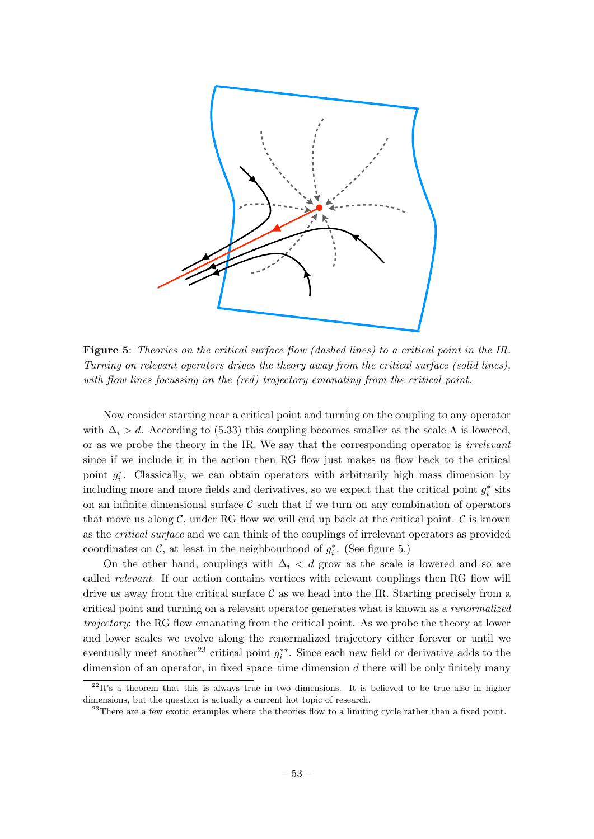<span id="page-8-2"></span>

Figure 5: Theories on the critical surface flow (dashed lines) to a critical point in the IR. Turning on relevant operators drives the theory away from the critical surface (solid lines), with flow lines focussing on the (red) trajectory emanating from the critical point.

Now consider starting near a critical point and turning on the coupling to any operator with  $\Delta_i > d$ . According to [\(5.33\)](#page-7-0) this coupling becomes smaller as the scale  $\Lambda$  is lowered, or as we probe the theory in the IR. We say that the corresponding operator is irrelevant since if we include it in the action then RG flow just makes us flow back to the critical point  $g_i^*$ . Classically, we can obtain operators with arbitrarily high mass dimension by including more and more fields and derivatives, so we expect that the critical point  $g_i^*$  sits on an infinite dimensional surface  $\mathcal C$  such that if we turn on any combination of operators that move us along  $\mathcal{C}$ , under RG flow we will end up back at the critical point.  $\mathcal{C}$  is known as the critical surface and we can think of the couplings of irrelevant operators as provided coordinates on  $\mathcal{C}$ , at least in the neighbourhood of  $g_i^*$ . (See figure [5.](#page-8-2))

On the other hand, couplings with  $\Delta_i$  < d grow as the scale is lowered and so are called relevant. If our action contains vertices with relevant couplings then RG flow will drive us away from the critical surface  $\mathcal C$  as we head into the IR. Starting precisely from a critical point and turning on a relevant operator generates what is known as a renormalized trajectory: the RG flow emanating from the critical point. As we probe the theory at lower and lower scales we evolve along the renormalized trajectory either forever or until we eventually meet another<sup>[23](#page-8-1)</sup> critical point  $g_i^{**}$ . Since each new field or derivative adds to the dimension of an operator, in fixed space–time dimension  $d$  there will be only finitely many

<span id="page-8-0"></span> $22$ It's a theorem that this is always true in two dimensions. It is believed to be true also in higher dimensions, but the question is actually a current hot topic of research.

<span id="page-8-1"></span><sup>&</sup>lt;sup>23</sup>There are a few exotic examples where the theories flow to a limiting cycle rather than a fixed point.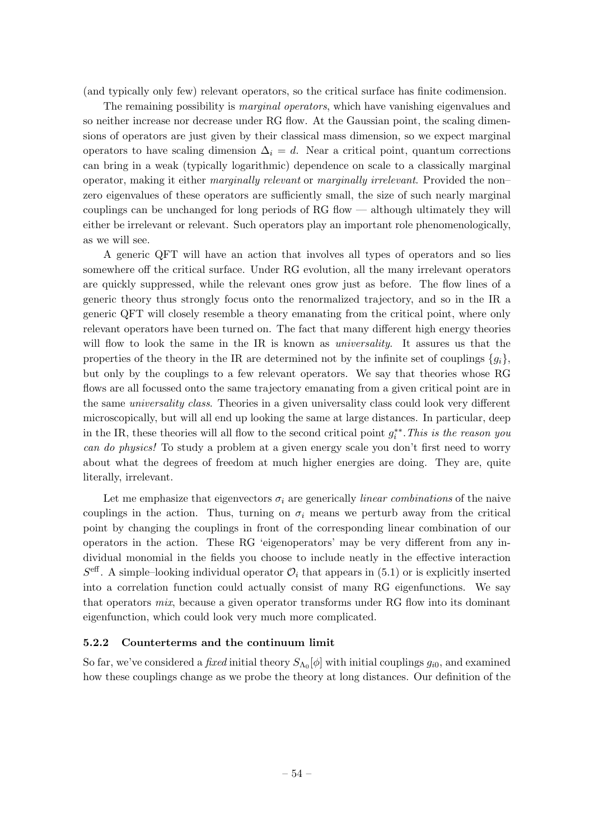(and typically only few) relevant operators, so the critical surface has finite codimension.

The remaining possibility is *marginal operators*, which have vanishing eigenvalues and so neither increase nor decrease under RG flow. At the Gaussian point, the scaling dimensions of operators are just given by their classical mass dimension, so we expect marginal operators to have scaling dimension  $\Delta_i = d$ . Near a critical point, quantum corrections can bring in a weak (typically logarithmic) dependence on scale to a classically marginal operator, making it either marginally relevant or marginally irrelevant. Provided the non– zero eigenvalues of these operators are sufficiently small, the size of such nearly marginal couplings can be unchanged for long periods of RG flow — although ultimately they will either be irrelevant or relevant. Such operators play an important role phenomenologically, as we will see.

A generic QFT will have an action that involves all types of operators and so lies somewhere off the critical surface. Under RG evolution, all the many irrelevant operators are quickly suppressed, while the relevant ones grow just as before. The flow lines of a generic theory thus strongly focus onto the renormalized trajectory, and so in the IR a generic QFT will closely resemble a theory emanating from the critical point, where only relevant operators have been turned on. The fact that many different high energy theories will flow to look the same in the IR is known as *universality*. It assures us that the properties of the theory in the IR are determined not by the infinite set of couplings  $\{g_i\}$ , but only by the couplings to a few relevant operators. We say that theories whose RG flows are all focussed onto the same trajectory emanating from a given critical point are in the same universality class. Theories in a given universality class could look very different microscopically, but will all end up looking the same at large distances. In particular, deep in the IR, these theories will all flow to the second critical point  $g_i^{**}$ . This is the reason you can do physics! To study a problem at a given energy scale you don't first need to worry about what the degrees of freedom at much higher energies are doing. They are, quite literally, irrelevant.

Let me emphasize that eigenvectors  $\sigma_i$  are generically *linear combinations* of the naive couplings in the action. Thus, turning on  $\sigma_i$  means we perturb away from the critical point by changing the couplings in front of the corresponding linear combination of our operators in the action. These RG 'eigenoperators' may be very different from any individual monomial in the fields you choose to include neatly in the effective interaction  $S^{\text{eff}}$ . A simple–looking individual operator  $\mathcal{O}_i$  that appears in [\(5.1\)](#page-0-1) or is explicitly inserted into a correlation function could actually consist of many RG eigenfunctions. We say that operators mix, because a given operator transforms under RG flow into its dominant eigenfunction, which could look very much more complicated.

## 5.2.2 Counterterms and the continuum limit

So far, we've considered a *fixed* initial theory  $S_{\Lambda_0}[\phi]$  with initial couplings  $g_{i0}$ , and examined how these couplings change as we probe the theory at long distances. Our definition of the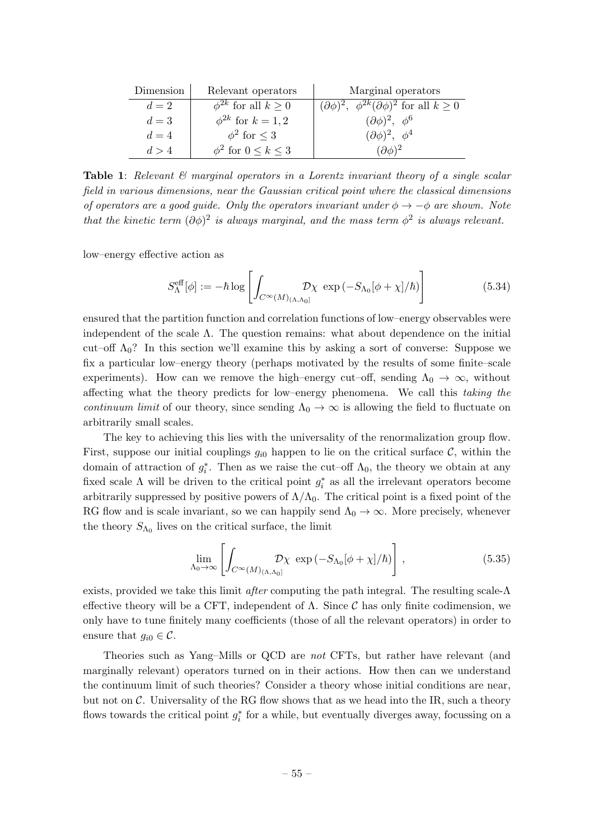| Dimension | Relevant operators             | Marginal operators                                                     |
|-----------|--------------------------------|------------------------------------------------------------------------|
| $d=2$     | $\phi^{2k}$ for all $k > 0$    | $(\partial \phi)^2$ , $\phi^{2k} (\partial \phi)^2$ for all $k \geq 0$ |
| $d=3$     | $\phi^{2k}$ for $k=1,2$        | $(\partial \phi)^2$ , $\phi^6$                                         |
| $d=4$     | $\phi^2$ for $\leq 3$          | $(\partial \phi)^2$ , $\phi^4$                                         |
| d > 4     | $\phi^2$ for $0 \leq k \leq 3$ | $(\partial \phi)^2$                                                    |

**Table 1:** Relevant  $\mathcal{C}$  marginal operators in a Lorentz invariant theory of a single scalar field in various dimensions, near the Gaussian critical point where the classical dimensions of operators are a good guide. Only the operators invariant under  $\phi \rightarrow -\phi$  are shown. Note that the kinetic term  $(\partial \phi)^2$  is always marginal, and the mass term  $\phi^2$  is always relevant.

low–energy effective action as

$$
S_{\Lambda}^{\text{eff}}[\phi] := -\hbar \log \left[ \int_{C^{\infty}(M)_{(\Lambda,\Lambda_0]}} \mathcal{D}\chi \exp(-S_{\Lambda_0}[\phi + \chi]/\hbar) \right]
$$
(5.34)

ensured that the partition function and correlation functions of low–energy observables were independent of the scale  $\Lambda$ . The question remains: what about dependence on the initial cut–off  $\Lambda_0$ ? In this section we'll examine this by asking a sort of converse: Suppose we fix a particular low–energy theory (perhaps motivated by the results of some finite–scale experiments). How can we remove the high–energy cut–off, sending  $\Lambda_0 \to \infty$ , without affecting what the theory predicts for low–energy phenomena. We call this taking the *continuum limit* of our theory, since sending  $\Lambda_0 \to \infty$  is allowing the field to fluctuate on arbitrarily small scales.

The key to achieving this lies with the universality of the renormalization group flow. First, suppose our initial couplings  $g_{i0}$  happen to lie on the critical surface C, within the domain of attraction of  $g_i^*$ . Then as we raise the cut–off  $\Lambda_0$ , the theory we obtain at any fixed scale  $\Lambda$  will be driven to the critical point  $g_i^*$  as all the irrelevant operators become arbitrarily suppressed by positive powers of  $\Lambda/\Lambda_0$ . The critical point is a fixed point of the RG flow and is scale invariant, so we can happily send  $\Lambda_0 \to \infty$ . More precisely, whenever the theory  $S_{\Lambda_0}$  lives on the critical surface, the limit

$$
\lim_{\Lambda_0 \to \infty} \left[ \int_{C^{\infty}(M)_{(\Lambda,\Lambda_0]}} \mathcal{D}\chi \exp\left(-S_{\Lambda_0}[\phi + \chi]/\hbar\right) \right], \tag{5.35}
$$

exists, provided we take this limit *after* computing the path integral. The resulting scale- $\Lambda$ effective theory will be a CFT, independent of  $\Lambda$ . Since  $\mathcal C$  has only finite codimension, we only have to tune finitely many coefficients (those of all the relevant operators) in order to ensure that  $g_{i0} \in \mathcal{C}$ .

Theories such as Yang–Mills or QCD are not CFTs, but rather have relevant (and marginally relevant) operators turned on in their actions. How then can we understand the continuum limit of such theories? Consider a theory whose initial conditions are near, but not on  $\mathcal C$ . Universality of the RG flow shows that as we head into the IR, such a theory flows towards the critical point  $g_i^*$  for a while, but eventually diverges away, focussing on a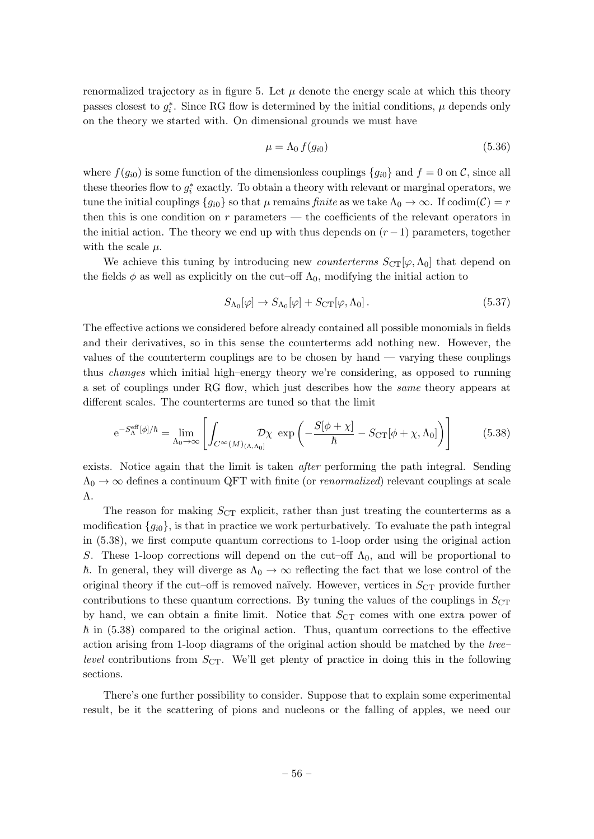renormalized trajectory as in figure [5.](#page-8-2) Let  $\mu$  denote the energy scale at which this theory passes closest to  $g_i^*$ . Since RG flow is determined by the initial conditions,  $\mu$  depends only on the theory we started with. On dimensional grounds we must have

$$
\mu = \Lambda_0 f(g_{i0}) \tag{5.36}
$$

where  $f(g_{i0})$  is some function of the dimensionless couplings  $\{g_{i0}\}\$  and  $f = 0$  on  $\mathcal{C}$ , since all these theories flow to  $g_i^*$  exactly. To obtain a theory with relevant or marginal operators, we tune the initial couplings  ${g_{i0}}$  so that  $\mu$  remains finite as we take  $\Lambda_0 \to \infty$ . If codim(C) = r then this is one condition on  $r$  parameters — the coefficients of the relevant operators in the initial action. The theory we end up with thus depends on  $(r-1)$  parameters, together with the scale  $\mu$ .

We achieve this tuning by introducing new *counterterms*  $S_{\text{CT}}[\varphi, \Lambda_0]$  that depend on the fields  $\phi$  as well as explicitly on the cut–off  $\Lambda_0$ , modifying the initial action to

$$
S_{\Lambda_0}[\varphi] \to S_{\Lambda_0}[\varphi] + S_{\rm CT}[\varphi, \Lambda_0]. \tag{5.37}
$$

The effective actions we considered before already contained all possible monomials in fields and their derivatives, so in this sense the counterterms add nothing new. However, the values of the counterterm couplings are to be chosen by hand — varying these couplings thus changes which initial high–energy theory we're considering, as opposed to running a set of couplings under RG flow, which just describes how the same theory appears at different scales. The counterterms are tuned so that the limit

<span id="page-11-0"></span>
$$
e^{-S_{\Lambda}^{\text{eff}}[\phi]/\hbar} = \lim_{\Lambda_0 \to \infty} \left[ \int_{C^{\infty}(M)_{(\Lambda,\Lambda_0]}} \mathcal{D}\chi \exp\left(-\frac{S[\phi+\chi]}{\hbar} - S_{\text{CT}}[\phi+\chi,\Lambda_0]\right) \right]
$$
(5.38)

exists. Notice again that the limit is taken *after* performing the path integral. Sending  $\Lambda_0 \rightarrow \infty$  defines a continuum QFT with finite (or *renormalized*) relevant couplings at scale Λ.

The reason for making  $S_{CT}$  explicit, rather than just treating the counterterms as a modification  ${g_{i0}}$ , is that in practice we work perturbatively. To evaluate the path integral in [\(5.38\)](#page-11-0), we first compute quantum corrections to 1-loop order using the original action S. These 1-loop corrections will depend on the cut–off  $\Lambda_0$ , and will be proportional to h. In general, they will diverge as  $\Lambda_0 \to \infty$  reflecting the fact that we lose control of the original theory if the cut–off is removed naïvely. However, vertices in  $S_{CT}$  provide further contributions to these quantum corrections. By tuning the values of the couplings in  $S_{CT}$ by hand, we can obtain a finite limit. Notice that  $S_{CT}$  comes with one extra power of  $\hbar$  in [\(5.38\)](#page-11-0) compared to the original action. Thus, quantum corrections to the effective action arising from 1-loop diagrams of the original action should be matched by the tree– *level* contributions from  $S_{\text{CT}}$ . We'll get plenty of practice in doing this in the following sections.

There's one further possibility to consider. Suppose that to explain some experimental result, be it the scattering of pions and nucleons or the falling of apples, we need our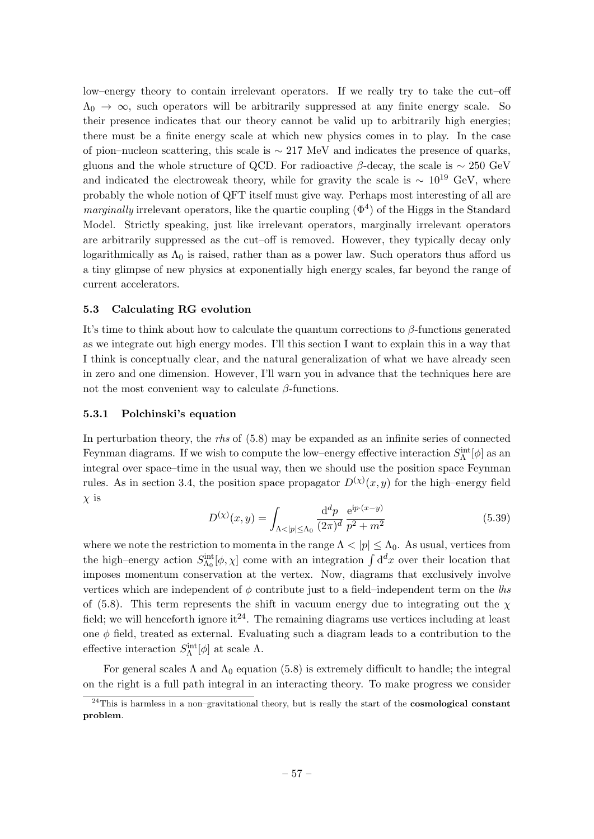low–energy theory to contain irrelevant operators. If we really try to take the cut–off  $\Lambda_0 \rightarrow \infty$ , such operators will be arbitrarily suppressed at any finite energy scale. So their presence indicates that our theory cannot be valid up to arbitrarily high energies; there must be a finite energy scale at which new physics comes in to play. In the case of pion–nucleon scattering, this scale is  $\sim$  217 MeV and indicates the presence of quarks, gluons and the whole structure of QCD. For radioactive  $\beta$ -decay, the scale is ~ 250 GeV and indicated the electroweak theory, while for gravity the scale is  $\sim 10^{19}$  GeV, where probably the whole notion of QFT itself must give way. Perhaps most interesting of all are *marginally* irrelevant operators, like the quartic coupling  $(\Phi^4)$  of the Higgs in the Standard Model. Strictly speaking, just like irrelevant operators, marginally irrelevant operators are arbitrarily suppressed as the cut–off is removed. However, they typically decay only logarithmically as  $\Lambda_0$  is raised, rather than as a power law. Such operators thus afford us a tiny glimpse of new physics at exponentially high energy scales, far beyond the range of current accelerators.

# 5.3 Calculating RG evolution

It's time to think about how to calculate the quantum corrections to  $\beta$ -functions generated as we integrate out high energy modes. I'll this section I want to explain this in a way that I think is conceptually clear, and the natural generalization of what we have already seen in zero and one dimension. However, I'll warn you in advance that the techniques here are not the most convenient way to calculate  $\beta$ -functions.

# 5.3.1 Polchinski's equation

In perturbation theory, the rhs of  $(5.8)$  may be expanded as an infinite series of connected Feynman diagrams. If we wish to compute the low–energy effective interaction  $S_\Lambda^{\rm int}[\phi]$  as an integral over space–time in the usual way, then we should use the position space Feynman rules. As in section [3.4,](#page-0-3) the position space propagator  $D^{(\chi)}(x, y)$  for the high–energy field  $\chi$  is

$$
D^{(\chi)}(x,y) = \int_{\Lambda < |p| \le \Lambda_0} \frac{\mathrm{d}^d p}{(2\pi)^d} \frac{\mathrm{e}^{\mathrm{i} p \cdot (x-y)}}{p^2 + m^2} \tag{5.39}
$$

where we note the restriction to momenta in the range  $\Lambda < |p| \leq \Lambda_0$ . As usual, vertices from the high–energy action  $S_{\Lambda_0}^{\text{int}}[\phi, \chi]$  come with an integration  $\int d^d x$  over their location that imposes momentum conservation at the vertex. Now, diagrams that exclusively involve vertices which are independent of  $\phi$  contribute just to a field–independent term on the lhs of [\(5.8\)](#page-2-2). This term represents the shift in vacuum energy due to integrating out the  $\chi$ field; we will henceforth ignore it<sup>[24](#page-12-0)</sup>. The remaining diagrams use vertices including at least one  $\phi$  field, treated as external. Evaluating such a diagram leads to a contribution to the effective interaction  $S_{\Lambda}^{\text{int}}[\phi]$  at scale  $\Lambda$ .

For general scales  $\Lambda$  and  $\Lambda_0$  equation [\(5.8\)](#page-2-2) is extremely difficult to handle; the integral on the right is a full path integral in an interacting theory. To make progress we consider

<span id="page-12-0"></span> $^{24}$ This is harmless in a non–gravitational theory, but is really the start of the **cosmological constant** problem.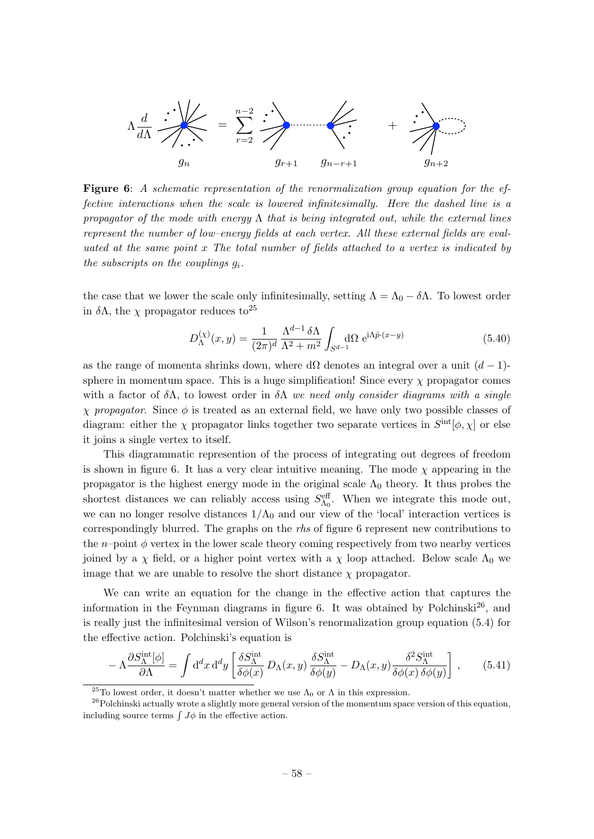<span id="page-13-1"></span>

Figure 6: A schematic representation of the renormalization group equation for the effective interactions when the scale is lowered infinitesimally. Here the dashed line is a propagator of the mode with energy  $\Lambda$  that is being integrated out, while the external lines represent the number of low–energy fields at each vertex. All these external fields are evaluated at the same point x The total number of fields attached to a vertex is indicated by the subscripts on the couplings  $g_i$ .

the case that we lower the scale only infinitesimally, setting  $\Lambda = \Lambda_0 - \delta \Lambda$ . To lowest order in  $\delta\Lambda$ , the  $\chi$  propagator reduces to<sup>[25](#page-13-0)</sup>

<span id="page-13-3"></span>
$$
D_{\Lambda}^{(\chi)}(x,y) = \frac{1}{(2\pi)^d} \frac{\Lambda^{d-1} \delta \Lambda}{\Lambda^2 + m^2} \int_{S^{d-1}} \mathrm{d}\Omega \, \mathrm{e}^{\mathrm{i}\Lambda \hat{p}\cdot(x-y)} \tag{5.40}
$$

as the range of momenta shrinks down, where  $d\Omega$  denotes an integral over a unit  $(d-1)$ sphere in momentum space. This is a huge simplification! Since every  $\chi$  propagator comes with a factor of  $\delta \Lambda$ , to lowest order in  $\delta \Lambda$  we need only consider diagrams with a single  $\chi$  propagator. Since  $\phi$  is treated as an external field, we have only two possible classes of diagram: either the  $\chi$  propagator links together two separate vertices in  $S<sup>int</sup>[\phi, \chi]$  or else it joins a single vertex to itself.

This diagrammatic represention of the process of integrating out degrees of freedom is shown in figure [6.](#page-13-1) It has a very clear intuitive meaning. The mode  $\chi$  appearing in the propagator is the highest energy mode in the original scale  $\Lambda_0$  theory. It thus probes the shortest distances we can reliably access using  $S_{\Lambda_0}^{\text{eff}}$ . When we integrate this mode out, we can no longer resolve distances  $1/\Lambda_0$  and our view of the 'local' interaction vertices is correspondingly blurred. The graphs on the rhs of figure [6](#page-13-1) represent new contributions to the *n*–point  $\phi$  vertex in the lower scale theory coming respectively from two nearby vertices joined by a  $\chi$  field, or a higher point vertex with a  $\chi$  loop attached. Below scale  $\Lambda_0$  we image that we are unable to resolve the short distance  $\chi$  propagator.

We can write an equation for the change in the effective action that captures the information in the Feynman diagrams in figure [6.](#page-13-1) It was obtained by Polchinski<sup>[26](#page-13-2)</sup>, and is really just the infinitesimal version of Wilson's renormalization group equation [\(5.4\)](#page-1-0) for the effective action. Polchinski's equation is

<span id="page-13-4"></span>
$$
-\Lambda \frac{\partial S^{\text{int}}_{\Lambda}[\phi]}{\partial \Lambda} = \int d^d x \, d^d y \left[ \frac{\delta S^{\text{int}}_{\Lambda}}{\delta \phi(x)} D_{\Lambda}(x, y) \frac{\delta S^{\text{int}}_{\Lambda}}{\delta \phi(y)} - D_{\Lambda}(x, y) \frac{\delta^2 S^{\text{int}}_{\Lambda}}{\delta \phi(x) \delta \phi(y)} \right],\tag{5.41}
$$

<span id="page-13-2"></span><span id="page-13-0"></span><sup>&</sup>lt;sup>25</sup>To lowest order, it doesn't matter whether we use  $\Lambda_0$  or  $\Lambda$  in this expression.

 $^{26}$ Polchinski actually wrote a slightly more general version of the momentum space version of this equation, including source terms  $\int J\phi$  in the effective action.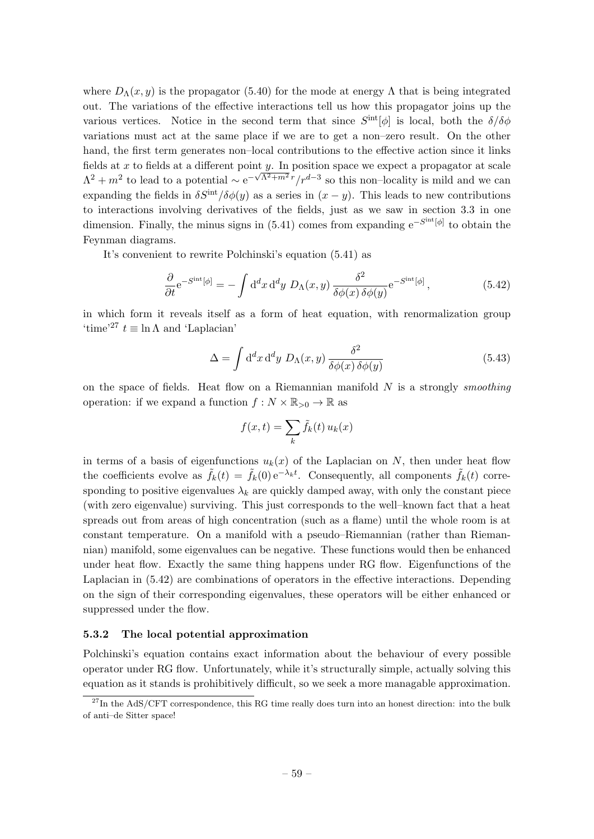where  $D_{\Lambda}(x, y)$  is the propagator [\(5.40\)](#page-13-3) for the mode at energy  $\Lambda$  that is being integrated out. The variations of the effective interactions tell us how this propagator joins up the various vertices. Notice in the second term that since  $S<sup>int</sup>[\phi]$  is local, both the  $\delta/\delta\phi$ variations must act at the same place if we are to get a non–zero result. On the other hand, the first term generates non-local contributions to the effective action since it links fields at x to fields at a different point y. In position space we expect a propagator at scale  $\Lambda^2 + m^2$  to lead to a potential  $\sim e^{-\sqrt{\Lambda^2 + m^2}r}/r^{d-3}$  so this non–locality is mild and we can expanding the fields in  $\delta S^{\text{int}}/\delta\phi(y)$  as a series in  $(x - y)$ . This leads to new contributions to interactions involving derivatives of the fields, just as we saw in section [3.3](#page-0-4) in one dimension. Finally, the minus signs in [\(5.41\)](#page-13-4) comes from expanding  $e^{-Sint[\phi]}$  to obtain the Feynman diagrams.

It's convenient to rewrite Polchinski's equation [\(5.41\)](#page-13-4) as

<span id="page-14-0"></span>
$$
\frac{\partial}{\partial t} e^{-S^{\text{int}}[\phi]} = -\int d^d x \, d^d y \, D_\Lambda(x, y) \, \frac{\delta^2}{\delta \phi(x) \, \delta \phi(y)} e^{-S^{\text{int}}[\phi]},\tag{5.42}
$$

in which form it reveals itself as a form of heat equation, with renormalization group 'time'<sup>[27](#page-14-1)</sup>  $t \equiv \ln \Lambda$  and 'Laplacian'

$$
\Delta = \int d^d x \, d^d y \, D_{\Lambda}(x, y) \, \frac{\delta^2}{\delta \phi(x) \, \delta \phi(y)} \tag{5.43}
$$

on the space of fields. Heat flow on a Riemannian manifold  $N$  is a strongly *smoothing* operation: if we expand a function  $f: N \times \mathbb{R}_{>0} \to \mathbb{R}$  as

$$
f(x,t) = \sum_{k} \tilde{f}_k(t) u_k(x)
$$

in terms of a basis of eigenfunctions  $u_k(x)$  of the Laplacian on N, then under heat flow the coefficients evolve as  $\tilde{f}_k(t) = \tilde{f}_k(0) e^{-\lambda_k t}$ . Consequently, all components  $\tilde{f}_k(t)$  corresponding to positive eigenvalues  $\lambda_k$  are quickly damped away, with only the constant piece (with zero eigenvalue) surviving. This just corresponds to the well–known fact that a heat spreads out from areas of high concentration (such as a flame) until the whole room is at constant temperature. On a manifold with a pseudo–Riemannian (rather than Riemannian) manifold, some eigenvalues can be negative. These functions would then be enhanced under heat flow. Exactly the same thing happens under RG flow. Eigenfunctions of the Laplacian in [\(5.42\)](#page-14-0) are combinations of operators in the effective interactions. Depending on the sign of their corresponding eigenvalues, these operators will be either enhanced or suppressed under the flow.

### 5.3.2 The local potential approximation

Polchinski's equation contains exact information about the behaviour of every possible operator under RG flow. Unfortunately, while it's structurally simple, actually solving this equation as it stands is prohibitively difficult, so we seek a more managable approximation.

<span id="page-14-1"></span> $^{27}$ In the AdS/CFT correspondence, this RG time really does turn into an honest direction: into the bulk of anti–de Sitter space!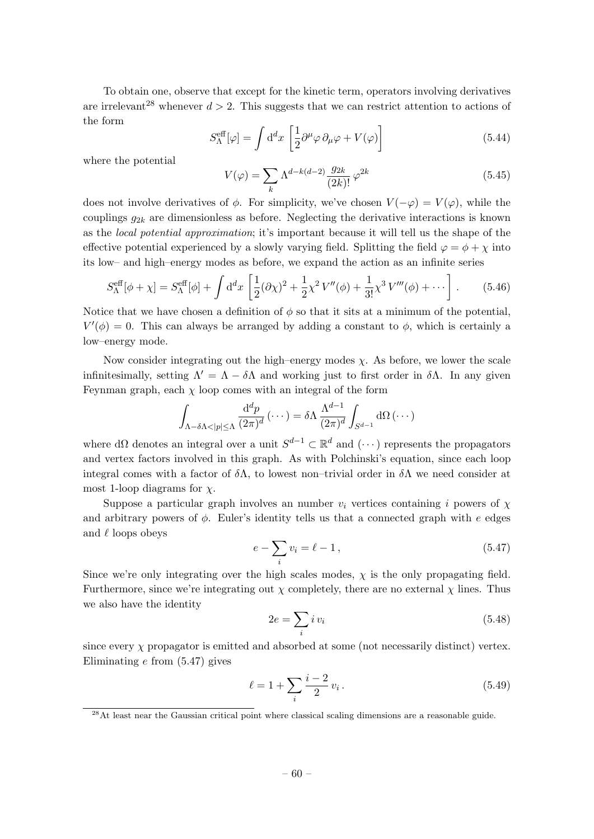To obtain one, observe that except for the kinetic term, operators involving derivatives are irrelevant<sup>[28](#page-15-1)</sup> whenever  $d > 2$ . This suggests that we can restrict attention to actions of the form

$$
S_{\Lambda}^{\text{eff}}[\varphi] = \int d^d x \left[ \frac{1}{2} \partial^\mu \varphi \, \partial_\mu \varphi + V(\varphi) \right] \tag{5.44}
$$

where the potential

$$
V(\varphi) = \sum_{k} \Lambda^{d-k(d-2)} \frac{g_{2k}}{(2k)!} \varphi^{2k}
$$
 (5.45)

does not involve derivatives of  $\phi$ . For simplicity, we've chosen  $V(-\varphi) = V(\varphi)$ , while the couplings  $g_{2k}$  are dimensionless as before. Neglecting the derivative interactions is known as the local potential approximation; it's important because it will tell us the shape of the effective potential experienced by a slowly varying field. Splitting the field  $\varphi = \phi + \chi$  into its low– and high–energy modes as before, we expand the action as an infinite series

<span id="page-15-2"></span>
$$
S_{\Lambda}^{\text{eff}}[\phi + \chi] = S_{\Lambda}^{\text{eff}}[\phi] + \int d^d x \left[ \frac{1}{2} (\partial \chi)^2 + \frac{1}{2} \chi^2 V''(\phi) + \frac{1}{3!} \chi^3 V'''(\phi) + \cdots \right].
$$
 (5.46)

Notice that we have chosen a definition of  $\phi$  so that it sits at a minimum of the potential,  $V'(\phi) = 0$ . This can always be arranged by adding a constant to  $\phi$ , which is certainly a low–energy mode.

Now consider integrating out the high–energy modes  $\chi$ . As before, we lower the scale infinitesimally, setting  $\Lambda' = \Lambda - \delta \Lambda$  and working just to first order in δ $\Lambda$ . In any given Feynman graph, each  $\chi$  loop comes with an integral of the form

$$
\int_{\Lambda-\delta\Lambda<|p|\leq\Lambda} \frac{\mathrm{d}^dp}{(2\pi)^d} \left(\cdots\right) = \delta\Lambda \frac{\Lambda^{d-1}}{(2\pi)^d} \int_{S^{d-1}} \mathrm{d}\Omega\left(\cdots\right)
$$

where dΩ denotes an integral over a unit  $S^{d-1} \subset \mathbb{R}^d$  and  $(\cdots)$  represents the propagators and vertex factors involved in this graph. As with Polchinski's equation, since each loop integral comes with a factor of  $\delta\Lambda$ , to lowest non–trivial order in  $\delta\Lambda$  we need consider at most 1-loop diagrams for  $\chi$ .

Suppose a particular graph involves an number  $v_i$  vertices containing i powers of  $\chi$ and arbitrary powers of  $\phi$ . Euler's identity tells us that a connected graph with e edges and  $\ell$  loops obeys

<span id="page-15-0"></span>
$$
e - \sum_{i} v_i = \ell - 1, \tag{5.47}
$$

Since we're only integrating over the high scales modes,  $\chi$  is the only propagating field. Furthermore, since we're integrating out  $\chi$  completely, there are no external  $\chi$  lines. Thus we also have the identity

$$
2e = \sum_{i} i v_i \tag{5.48}
$$

since every  $\chi$  propagator is emitted and absorbed at some (not necessarily distinct) vertex. Eliminating  $e$  from  $(5.47)$  gives

$$
\ell = 1 + \sum_{i} \frac{i - 2}{2} v_i.
$$
\n(5.49)

<span id="page-15-1"></span><sup>&</sup>lt;sup>28</sup>At least near the Gaussian critical point where classical scaling dimensions are a reasonable guide.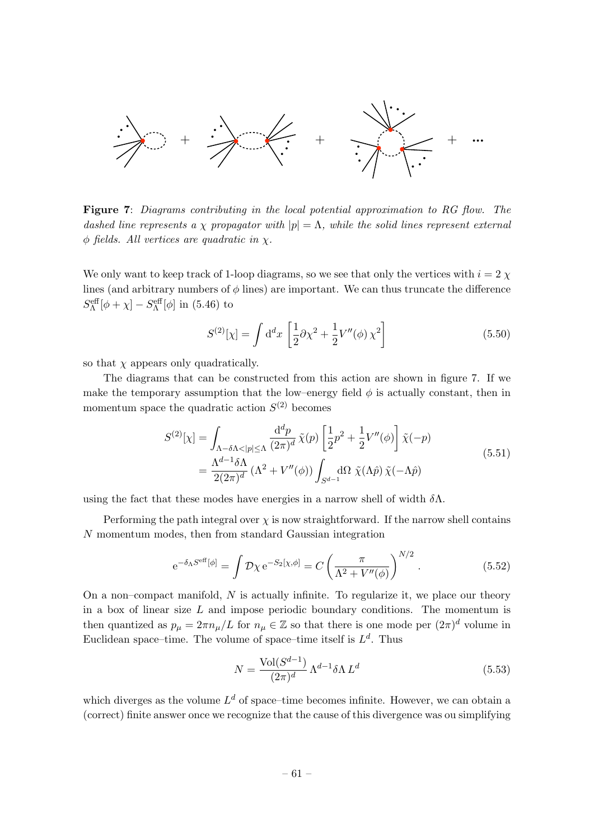<span id="page-16-0"></span>

Figure 7: Diagrams contributing in the local potential approximation to RG flow. The dashed line represents a  $\chi$  propagator with  $|p| = \Lambda$ , while the solid lines represent external  $\phi$  fields. All vertices are quadratic in  $\chi$ .

We only want to keep track of 1-loop diagrams, so we see that only the vertices with  $i = 2 \chi$ lines (and arbitrary numbers of  $\phi$  lines) are important. We can thus truncate the difference  $S_{\Lambda}^{\text{eff}}[\phi + \chi] - S_{\Lambda}^{\text{eff}}[\phi]$  in [\(5.46\)](#page-15-2) to

$$
S^{(2)}[\chi] = \int d^d x \left[ \frac{1}{2} \partial \chi^2 + \frac{1}{2} V''(\phi) \chi^2 \right]
$$
 (5.50)

so that  $\chi$  appears only quadratically.

The diagrams that can be constructed from this action are shown in figure [7.](#page-16-0) If we make the temporary assumption that the low–energy field  $\phi$  is actually constant, then in momentum space the quadratic action  $S^{(2)}$  becomes

$$
S^{(2)}[\chi] = \int_{\Lambda - \delta\Lambda < |p| \le \Lambda} \frac{\mathrm{d}^d p}{(2\pi)^d} \tilde{\chi}(p) \left[ \frac{1}{2} p^2 + \frac{1}{2} V''(\phi) \right] \tilde{\chi}(-p) = \frac{\Lambda^{d-1} \delta \Lambda}{2(2\pi)^d} (\Lambda^2 + V''(\phi)) \int_{S^{d-1}} \mathrm{d}\Omega \ \tilde{\chi}(\Lambda \hat{p}) \, \tilde{\chi}(-\Lambda \hat{p})
$$
 (5.51)

using the fact that these modes have energies in a narrow shell of width  $\delta\Lambda$ .

Performing the path integral over  $\chi$  is now straightforward. If the narrow shell contains N momentum modes, then from standard Gaussian integration

<span id="page-16-1"></span>
$$
e^{-\delta_{\Lambda}S^{\text{eff}}[\phi]} = \int \mathcal{D}\chi \, e^{-S_2[\chi,\phi]} = C \left(\frac{\pi}{\Lambda^2 + V''(\phi)}\right)^{N/2}.
$$
 (5.52)

On a non–compact manifold,  $N$  is actually infinite. To regularize it, we place our theory in a box of linear size  $L$  and impose periodic boundary conditions. The momentum is then quantized as  $p_{\mu} = 2\pi n_{\mu}/L$  for  $n_{\mu} \in \mathbb{Z}$  so that there is one mode per  $(2\pi)^d$  volume in Euclidean space–time. The volume of space–time itself is  $L^d$ . Thus

$$
N = \frac{\text{Vol}(S^{d-1})}{(2\pi)^d} \Lambda^{d-1} \delta \Lambda L^d
$$
\n(5.53)

which diverges as the volume  $L^d$  of space–time becomes infinite. However, we can obtain a (correct) finite answer once we recognize that the cause of this divergence was ou simplifying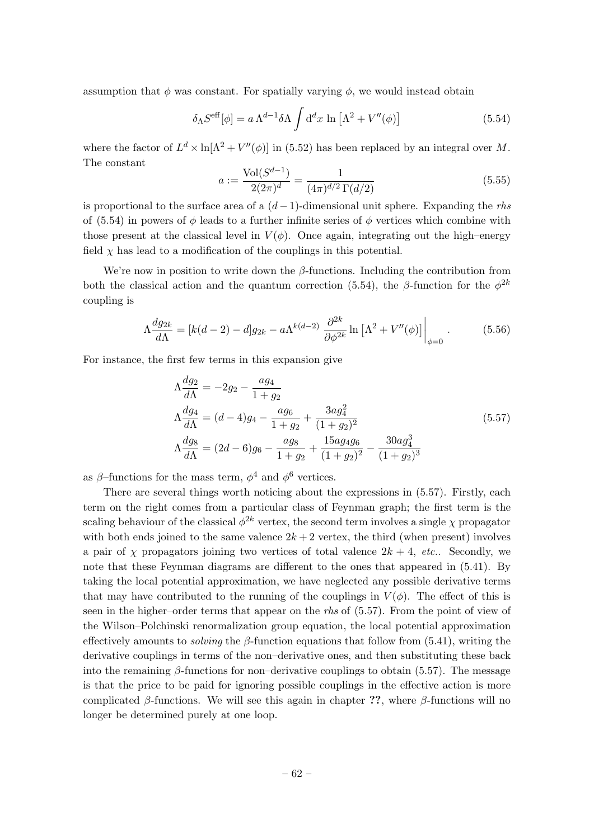assumption that  $\phi$  was constant. For spatially varying  $\phi$ , we would instead obtain

<span id="page-17-1"></span>
$$
\delta_{\Lambda} S^{\text{eff}}[\phi] = a \Lambda^{d-1} \delta \Lambda \int d^d x \ln \left[ \Lambda^2 + V''(\phi) \right] \tag{5.54}
$$

where the factor of  $L^d \times \ln[\Lambda^2 + V''(\phi)]$  in [\(5.52\)](#page-16-1) has been replaced by an integral over M. The constant

$$
a := \frac{\text{Vol}(S^{d-1})}{2(2\pi)^d} = \frac{1}{(4\pi)^{d/2}\,\Gamma(d/2)}\tag{5.55}
$$

is proportional to the surface area of a  $(d-1)$ -dimensional unit sphere. Expanding the rhs of [\(5.54\)](#page-17-1) in powers of  $\phi$  leads to a further infinite series of  $\phi$  vertices which combine with those present at the classical level in  $V(\phi)$ . Once again, integrating out the high–energy field  $\chi$  has lead to a modification of the couplings in this potential.

We're now in position to write down the  $\beta$ -functions. Including the contribution from both the classical action and the quantum correction [\(5.54\)](#page-17-1), the  $\beta$ -function for the  $\phi^{2k}$ coupling is

<span id="page-17-2"></span>
$$
\Lambda \frac{dg_{2k}}{d\Lambda} = \left[ k(d-2) - d \right] g_{2k} - a \Lambda^{k(d-2)} \left. \frac{\partial^{2k}}{\partial \phi^{2k}} \ln \left[ \Lambda^2 + V''(\phi) \right] \right|_{\phi=0} . \tag{5.56}
$$

For instance, the first few terms in this expansion give

<span id="page-17-0"></span>
$$
\Lambda \frac{dg_2}{d\Lambda} = -2g_2 - \frac{ag_4}{1+g_2}
$$
\n
$$
\Lambda \frac{dg_4}{d\Lambda} = (d-4)g_4 - \frac{ag_6}{1+g_2} + \frac{3ag_4^2}{(1+g_2)^2}
$$
\n
$$
\Lambda \frac{dg_8}{d\Lambda} = (2d-6)g_6 - \frac{ags}{1+g_2} + \frac{15ag_4g_6}{(1+g_2)^2} - \frac{30ag_4^3}{(1+g_2)^3}
$$
\n(5.57)

as  $\beta$ -functions for the mass term,  $\phi^4$  and  $\phi^6$  vertices.

There are several things worth noticing about the expressions in [\(5.57\)](#page-17-0). Firstly, each term on the right comes from a particular class of Feynman graph; the first term is the scaling behaviour of the classical  $\phi^{2k}$  vertex, the second term involves a single  $\chi$  propagator with both ends joined to the same valence  $2k + 2$  vertex, the third (when present) involves a pair of  $\chi$  propagators joining two vertices of total valence  $2k + 4$ , *etc.*. Secondly, we note that these Feynman diagrams are different to the ones that appeared in [\(5.41\)](#page-13-4). By taking the local potential approximation, we have neglected any possible derivative terms that may have contributed to the running of the couplings in  $V(\phi)$ . The effect of this is seen in the higher–order terms that appear on the *rhs* of  $(5.57)$ . From the point of view of the Wilson–Polchinski renormalization group equation, the local potential approximation effectively amounts to *solving* the  $\beta$ -function equations that follow from [\(5.41\)](#page-13-4), writing the derivative couplings in terms of the non–derivative ones, and then substituting these back into the remaining  $\beta$ -functions for non–derivative couplings to obtain [\(5.57\)](#page-17-0). The message is that the price to be paid for ignoring possible couplings in the effective action is more complicated β-functions. We will see this again in chapter ??, where β-functions will no longer be determined purely at one loop.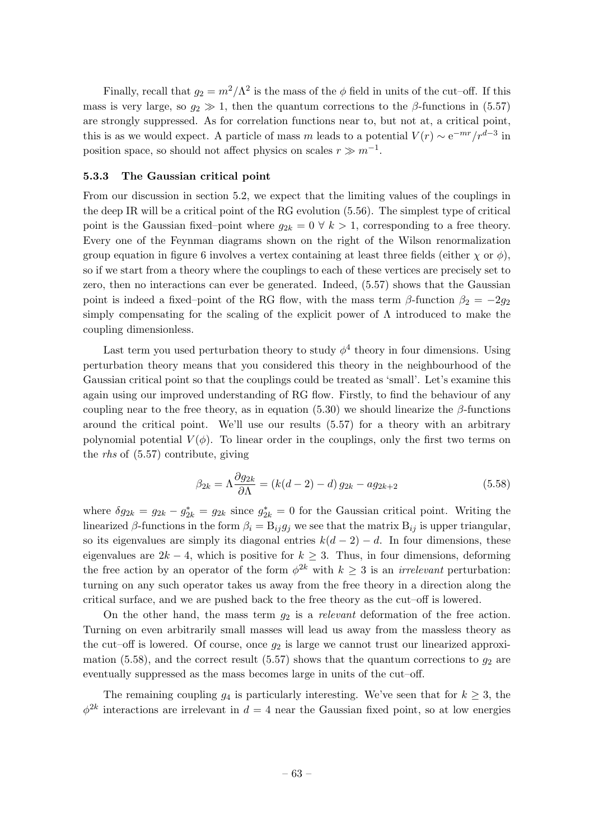Finally, recall that  $g_2 = m^2/\Lambda^2$  is the mass of the  $\phi$  field in units of the cut–off. If this mass is very large, so  $g_2 \gg 1$ , then the quantum corrections to the β-functions in [\(5.57\)](#page-17-0) are strongly suppressed. As for correlation functions near to, but not at, a critical point, this is as we would expect. A particle of mass m leads to a potential  $V(r) \sim e^{-mr}/r^{d-3}$  in position space, so should not affect physics on scales  $r \gg m^{-1}$ .

## 5.3.3 The Gaussian critical point

From our discussion in section [5.2,](#page-6-0) we expect that the limiting values of the couplings in the deep IR will be a critical point of the RG evolution [\(5.56\)](#page-17-2). The simplest type of critical point is the Gaussian fixed–point where  $g_{2k} = 0 \forall k > 1$ , corresponding to a free theory. Every one of the Feynman diagrams shown on the right of the Wilson renormalization group equation in figure [6](#page-13-1) involves a vertex containing at least three fields (either  $\chi$  or  $\phi$ ), so if we start from a theory where the couplings to each of these vertices are precisely set to zero, then no interactions can ever be generated. Indeed, [\(5.57\)](#page-17-0) shows that the Gaussian point is indeed a fixed–point of the RG flow, with the mass term β-function  $\beta_2 = -2q_2$ simply compensating for the scaling of the explicit power of  $\Lambda$  introduced to make the coupling dimensionless.

Last term you used perturbation theory to study  $\phi^4$  theory in four dimensions. Using perturbation theory means that you considered this theory in the neighbourhood of the Gaussian critical point so that the couplings could be treated as 'small'. Let's examine this again using our improved understanding of RG flow. Firstly, to find the behaviour of any coupling near to the free theory, as in equation [\(5.30\)](#page-7-1) we should linearize the  $\beta$ -functions around the critical point. We'll use our results [\(5.57\)](#page-17-0) for a theory with an arbitrary polynomial potential  $V(\phi)$ . To linear order in the couplings, only the first two terms on the rhs of [\(5.57\)](#page-17-0) contribute, giving

<span id="page-18-0"></span>
$$
\beta_{2k} = \Lambda \frac{\partial g_{2k}}{\partial \Lambda} = (k(d-2) - d) g_{2k} - ag_{2k+2}
$$
\n(5.58)

where  $\delta g_{2k} = g_{2k} - g_{2k}^* = g_{2k}$  since  $g_{2k}^* = 0$  for the Gaussian critical point. Writing the linearized β-functions in the form  $\beta_i = B_{ij}g_j$  we see that the matrix  $B_{ij}$  is upper triangular, so its eigenvalues are simply its diagonal entries  $k(d-2) - d$ . In four dimensions, these eigenvalues are  $2k - 4$ , which is positive for  $k \geq 3$ . Thus, in four dimensions, deforming the free action by an operator of the form  $\phi^{2k}$  with  $k \geq 3$  is an *irrelevant* perturbation: turning on any such operator takes us away from the free theory in a direction along the critical surface, and we are pushed back to the free theory as the cut–off is lowered.

On the other hand, the mass term  $g_2$  is a *relevant* deformation of the free action. Turning on even arbitrarily small masses will lead us away from the massless theory as the cut–off is lowered. Of course, once  $g_2$  is large we cannot trust our linearized approxi-mation [\(5.58\)](#page-18-0), and the correct result [\(5.57\)](#page-17-0) shows that the quantum corrections to  $q_2$  are eventually suppressed as the mass becomes large in units of the cut–off.

The remaining coupling  $g_4$  is particularly interesting. We've seen that for  $k \geq 3$ , the  $\phi^{2k}$  interactions are irrelevant in  $d = 4$  near the Gaussian fixed point, so at low energies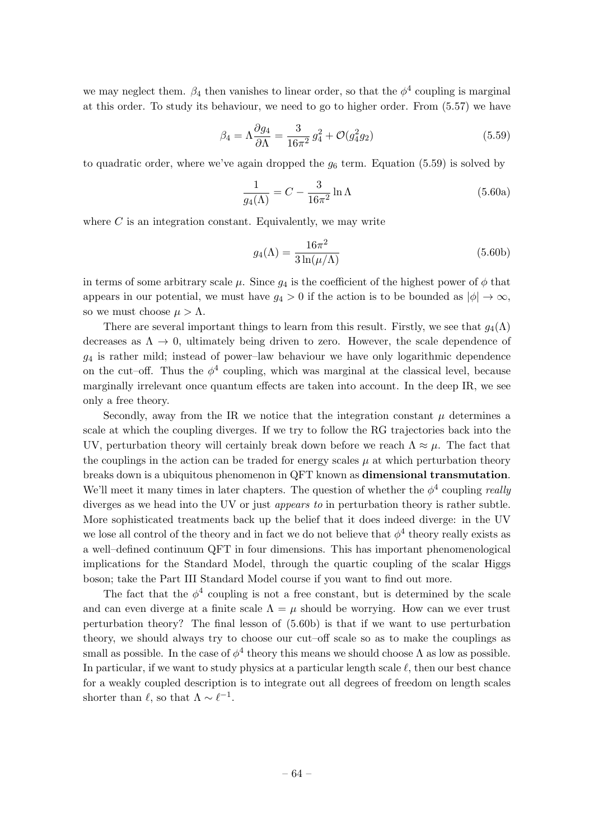we may neglect them.  $\beta_4$  then vanishes to linear order, so that the  $\phi^4$  coupling is marginal at this order. To study its behaviour, we need to go to higher order. From [\(5.57\)](#page-17-0) we have

<span id="page-19-1"></span>
$$
\beta_4 = \Lambda \frac{\partial g_4}{\partial \Lambda} = \frac{3}{16\pi^2} g_4^2 + \mathcal{O}(g_4^2 g_2)
$$
\n(5.59)

to quadratic order, where we've again dropped the  $g_6$  term. Equation [\(5.59\)](#page-19-1) is solved by

$$
\frac{1}{g_4(\Lambda)} = C - \frac{3}{16\pi^2} \ln \Lambda \tag{5.60a}
$$

where  $C$  is an integration constant. Equivalently, we may write

<span id="page-19-0"></span>
$$
g_4(\Lambda) = \frac{16\pi^2}{3\ln(\mu/\Lambda)}\tag{5.60b}
$$

in terms of some arbitrary scale  $\mu$ . Since  $g_4$  is the coefficient of the highest power of  $\phi$  that appears in our potential, we must have  $g_4 > 0$  if the action is to be bounded as  $|\phi| \to \infty$ , so we must choose  $\mu > \Lambda$ .

There are several important things to learn from this result. Firstly, we see that  $g_4(\Lambda)$ decreases as  $\Lambda \to 0$ , ultimately being driven to zero. However, the scale dependence of  $g_4$  is rather mild; instead of power–law behaviour we have only logarithmic dependence on the cut–off. Thus the  $\phi^4$  coupling, which was marginal at the classical level, because marginally irrelevant once quantum effects are taken into account. In the deep IR, we see only a free theory.

Secondly, away from the IR we notice that the integration constant  $\mu$  determines a scale at which the coupling diverges. If we try to follow the RG trajectories back into the UV, perturbation theory will certainly break down before we reach  $\Lambda \approx \mu$ . The fact that the couplings in the action can be traded for energy scales  $\mu$  at which perturbation theory breaks down is a ubiquitous phenomenon in QFT known as dimensional transmutation. We'll meet it many times in later chapters. The question of whether the  $\phi^4$  coupling really diverges as we head into the UV or just *appears to* in perturbation theory is rather subtle. More sophisticated treatments back up the belief that it does indeed diverge: in the UV we lose all control of the theory and in fact we do not believe that  $\phi^4$  theory really exists as a well–defined continuum QFT in four dimensions. This has important phenomenological implications for the Standard Model, through the quartic coupling of the scalar Higgs boson; take the Part III Standard Model course if you want to find out more.

The fact that the  $\phi^4$  coupling is not a free constant, but is determined by the scale and can even diverge at a finite scale  $\Lambda = \mu$  should be worrying. How can we ever trust perturbation theory? The final lesson of [\(5.60b\)](#page-19-0) is that if we want to use perturbation theory, we should always try to choose our cut–off scale so as to make the couplings as small as possible. In the case of  $\phi^4$  theory this means we should choose  $\Lambda$  as low as possible. In particular, if we want to study physics at a particular length scale  $\ell$ , then our best chance for a weakly coupled description is to integrate out all degrees of freedom on length scales shorter than  $\ell$ , so that  $\Lambda \sim \ell^{-1}$ .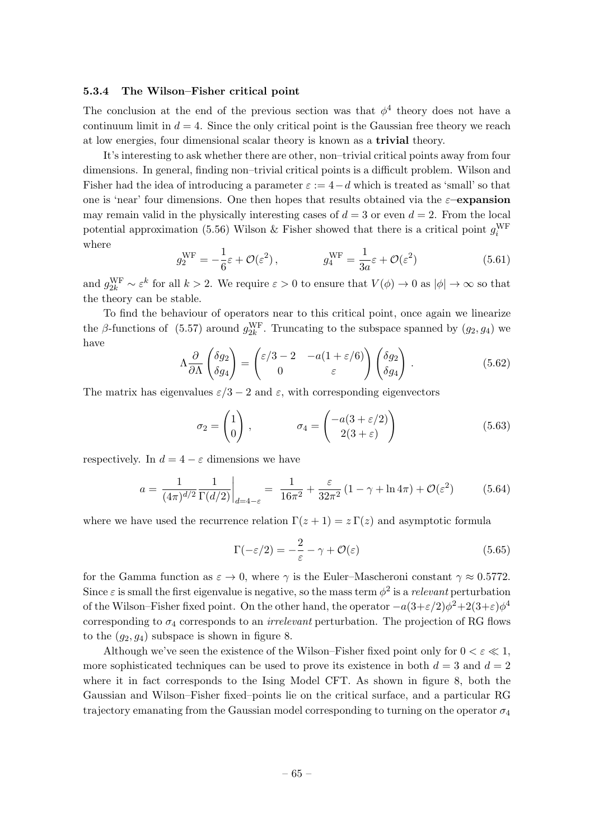## 5.3.4 The Wilson–Fisher critical point

The conclusion at the end of the previous section was that  $\phi^4$  theory does not have a continuum limit in  $d = 4$ . Since the only critical point is the Gaussian free theory we reach at low energies, four dimensional scalar theory is known as a trivial theory.

It's interesting to ask whether there are other, non–trivial critical points away from four dimensions. In general, finding non–trivial critical points is a difficult problem. Wilson and Fisher had the idea of introducing a parameter  $\varepsilon := 4-d$  which is treated as 'small' so that one is 'near' four dimensions. One then hopes that results obtained via the  $\varepsilon$ -expansion may remain valid in the physically interesting cases of  $d = 3$  or even  $d = 2$ . From the local potential approximation [\(5.56\)](#page-17-2) Wilson & Fisher showed that there is a critical point  $g_i^{\text{WF}}$ where

$$
g_2^{\text{WF}} = -\frac{1}{6}\varepsilon + \mathcal{O}(\varepsilon^2) , \qquad g_4^{\text{WF}} = \frac{1}{3a}\varepsilon + \mathcal{O}(\varepsilon^2) \tag{5.61}
$$

and  $g_{2k}^{\text{WF}} \sim \varepsilon^k$  for all  $k > 2$ . We require  $\varepsilon > 0$  to ensure that  $V(\phi) \to 0$  as  $|\phi| \to \infty$  so that the theory can be stable.

To find the behaviour of operators near to this critical point, once again we linearize the β-functions of [\(5.57\)](#page-17-0) around  $g_{2k}^{\text{WF}}$ . Truncating to the subspace spanned by  $(g_2, g_4)$  we have

$$
\Lambda \frac{\partial}{\partial \Lambda} \begin{pmatrix} \delta g_2 \\ \delta g_4 \end{pmatrix} = \begin{pmatrix} \varepsilon/3 - 2 & -a(1 + \varepsilon/6) \\ 0 & \varepsilon \end{pmatrix} \begin{pmatrix} \delta g_2 \\ \delta g_4 \end{pmatrix} . \tag{5.62}
$$

The matrix has eigenvalues  $\varepsilon/3 - 2$  and  $\varepsilon$ , with corresponding eigenvectors

$$
\sigma_2 = \begin{pmatrix} 1 \\ 0 \end{pmatrix}, \qquad \sigma_4 = \begin{pmatrix} -a(3+\varepsilon/2) \\ 2(3+\varepsilon) \end{pmatrix}
$$
 (5.63)

respectively. In  $d = 4 - \varepsilon$  dimensions we have

$$
a = \frac{1}{(4\pi)^{d/2}} \frac{1}{\Gamma(d/2)} \bigg|_{d=4-\varepsilon} = \frac{1}{16\pi^2} + \frac{\varepsilon}{32\pi^2} \left(1 - \gamma + \ln 4\pi\right) + \mathcal{O}(\varepsilon^2) \tag{5.64}
$$

where we have used the recurrence relation  $\Gamma(z+1) = z \Gamma(z)$  and asymptotic formula

$$
\Gamma(-\varepsilon/2) = -\frac{2}{\varepsilon} - \gamma + \mathcal{O}(\varepsilon)
$$
\n(5.65)

for the Gamma function as  $\varepsilon \to 0$ , where  $\gamma$  is the Euler–Mascheroni constant  $\gamma \approx 0.5772$ . Since  $\varepsilon$  is small the first eigenvalue is negative, so the mass term  $\phi^2$  is a relevant perturbation of the Wilson–Fisher fixed point. On the other hand, the operator  $-a(3+\epsilon/2)\phi^2+2(3+\epsilon)\phi^4$ corresponding to  $\sigma_4$  corresponds to an *irrelevant* perturbation. The projection of RG flows to the  $(g_2, g_4)$  subspace is shown in figure [8.](#page-21-0)

Although we've seen the existence of the Wilson–Fisher fixed point only for  $0 < \varepsilon \ll 1$ , more sophisticated techniques can be used to prove its existence in both  $d = 3$  and  $d = 2$ where it in fact corresponds to the Ising Model CFT. As shown in figure [8,](#page-21-0) both the Gaussian and Wilson–Fisher fixed–points lie on the critical surface, and a particular RG trajectory emanating from the Gaussian model corresponding to turning on the operator  $\sigma_4$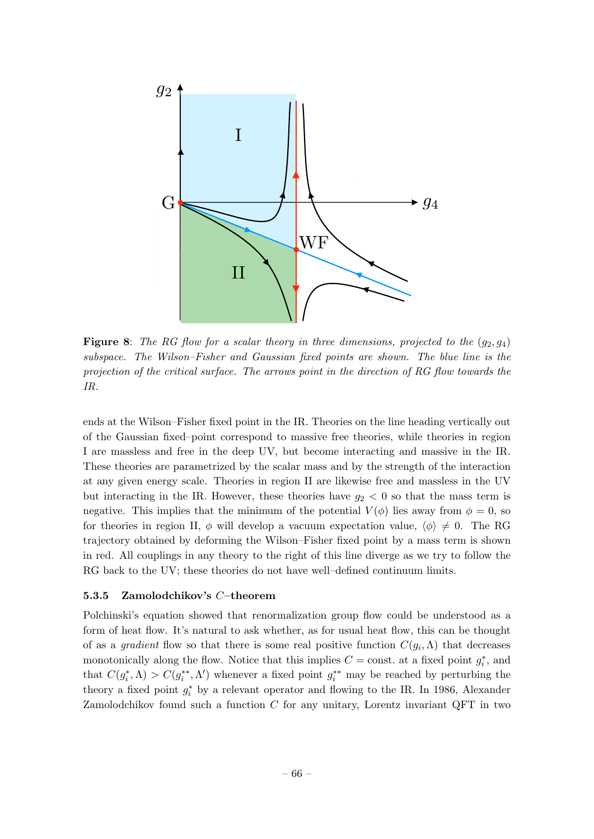<span id="page-21-0"></span>

**Figure 8:** The RG flow for a scalar theory in three dimensions, projected to the  $(g_2, g_4)$ subspace. The Wilson–Fisher and Gaussian fixed points are shown. The blue line is the projection of the critical surface. The arrows point in the direction of RG flow towards the IR.

ends at the Wilson–Fisher fixed point in the IR. Theories on the line heading vertically out of the Gaussian fixed–point correspond to massive free theories, while theories in region I are massless and free in the deep UV, but become interacting and massive in the IR. These theories are parametrized by the scalar mass and by the strength of the interaction at any given energy scale. Theories in region II are likewise free and massless in the UV but interacting in the IR. However, these theories have  $g_2 < 0$  so that the mass term is negative. This implies that the minimum of the potential  $V(\phi)$  lies away from  $\phi = 0$ , so for theories in region II,  $\phi$  will develop a vacuum expectation value,  $\langle \phi \rangle \neq 0$ . The RG trajectory obtained by deforming the Wilson–Fisher fixed point by a mass term is shown in red. All couplings in any theory to the right of this line diverge as we try to follow the RG back to the UV; these theories do not have well–defined continuum limits.

# 5.3.5 Zamolodchikov's C–theorem

Polchinski's equation showed that renormalization group flow could be understood as a form of heat flow. It's natural to ask whether, as for usual heat flow, this can be thought of as a *gradient* flow so that there is some real positive function  $C(q_i,\Lambda)$  that decreases monotonically along the flow. Notice that this implies  $C = \text{const.}$  at a fixed point  $g_i^*$ , and that  $C(g_i^*, \Lambda) > C(g_i^{**}, \Lambda')$  whenever a fixed point  $g_i^{**}$  may be reached by perturbing the theory a fixed point  $g_i^*$  by a relevant operator and flowing to the IR. In 1986, Alexander Zamolodchikov found such a function  $C$  for any unitary, Lorentz invariant QFT in two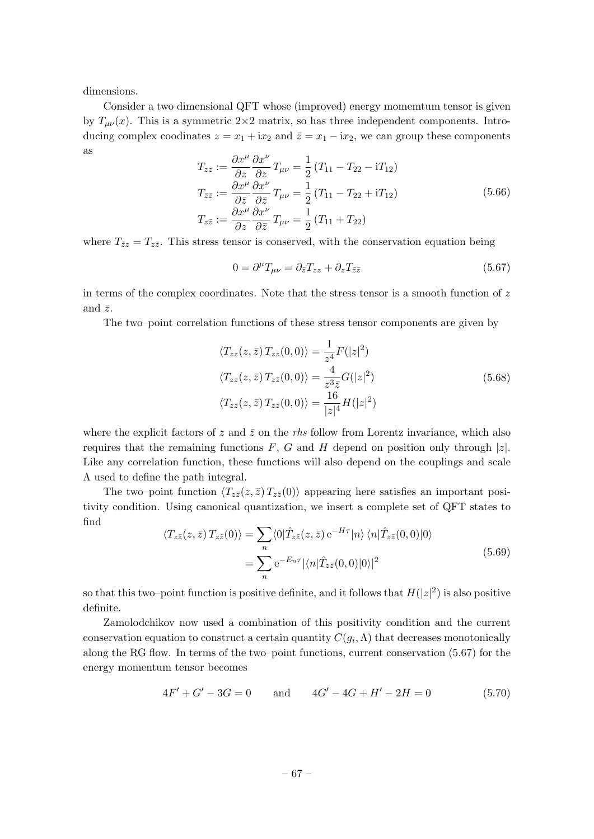dimensions.

Consider a two dimensional QFT whose (improved) energy momemtum tensor is given by  $T_{\mu\nu}(x)$ . This is a symmetric 2×2 matrix, so has three independent components. Introducing complex coodinates  $z = x_1 + ix_2$  and  $\overline{z} = x_1 - ix_2$ , we can group these components as

$$
T_{zz} := \frac{\partial x^{\mu}}{\partial z} \frac{\partial x^{\nu}}{\partial z} T_{\mu\nu} = \frac{1}{2} (T_{11} - T_{22} - iT_{12})
$$
  
\n
$$
T_{\bar{z}\bar{z}} := \frac{\partial x^{\mu}}{\partial \bar{z}} \frac{\partial x^{\nu}}{\partial \bar{z}} T_{\mu\nu} = \frac{1}{2} (T_{11} - T_{22} + iT_{12})
$$
  
\n
$$
T_{z\bar{z}} := \frac{\partial x^{\mu}}{\partial z} \frac{\partial x^{\nu}}{\partial \bar{z}} T_{\mu\nu} = \frac{1}{2} (T_{11} + T_{22})
$$
\n(5.66)

where  $T_{\bar{z}z} = T_{z\bar{z}}$ . This stress tensor is conserved, with the conservation equation being

<span id="page-22-0"></span>
$$
0 = \partial^{\mu} T_{\mu\nu} = \partial_{\bar{z}} T_{zz} + \partial_{z} T_{\bar{z}\bar{z}} \tag{5.67}
$$

in terms of the complex coordinates. Note that the stress tensor is a smooth function of  $z$ and  $\bar{z}$ .

The two–point correlation functions of these stress tensor components are given by

$$
\langle T_{zz}(z,\bar{z}) T_{zz}(0,0) \rangle = \frac{1}{z^4} F(|z|^2)
$$
  

$$
\langle T_{zz}(z,\bar{z}) T_{z\bar{z}}(0,0) \rangle = \frac{4}{z^3 \bar{z}} G(|z|^2)
$$
  

$$
\langle T_{z\bar{z}}(z,\bar{z}) T_{z\bar{z}}(0,0) \rangle = \frac{16}{|z|^4} H(|z|^2)
$$
 (5.68)

where the explicit factors of z and  $\bar{z}$  on the rhs follow from Lorentz invariance, which also requires that the remaining functions  $F, G$  and  $H$  depend on position only through  $|z|$ . Like any correlation function, these functions will also depend on the couplings and scale Λ used to define the path integral.

The two–point function  $\langle T_{z\bar{z}}(z,\bar{z}) T_{z\bar{z}}(0) \rangle$  appearing here satisfies an important positivity condition. Using canonical quantization, we insert a complete set of QFT states to find

$$
\langle T_{z\bar{z}}(z,\bar{z}) T_{z\bar{z}}(0) \rangle = \sum_{n} \langle 0|\hat{T}_{z\bar{z}}(z,\bar{z}) e^{-H\tau}|n\rangle \langle n|\hat{T}_{z\bar{z}}(0,0)|0\rangle
$$
  

$$
= \sum_{n} e^{-E_n\tau} |\langle n|\hat{T}_{z\bar{z}}(0,0)|0\rangle|^2
$$
(5.69)

so that this two–point function is positive definite, and it follows that  $H(|z|^2)$  is also positive definite.

Zamolodchikov now used a combination of this positivity condition and the current conservation equation to construct a certain quantity  $C(g_i, \Lambda)$  that decreases monotonically along the RG flow. In terms of the two–point functions, current conservation [\(5.67\)](#page-22-0) for the energy momentum tensor becomes

$$
4F' + G' - 3G = 0 \qquad \text{and} \qquad 4G' - 4G + H' - 2H = 0 \tag{5.70}
$$